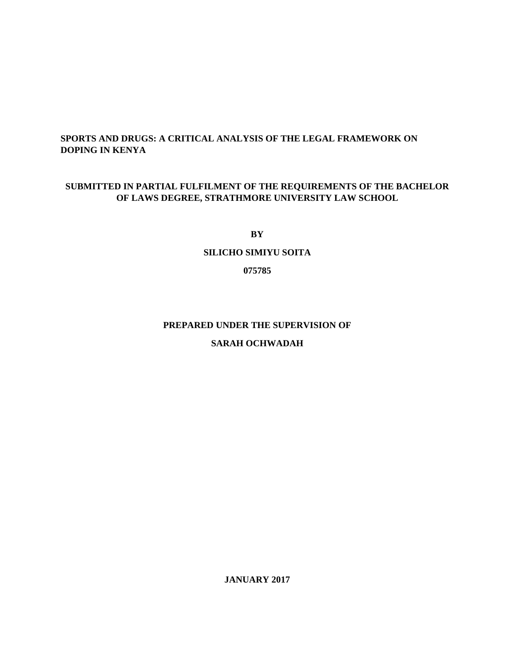## **SPORTS AND DRUGS: A CRITICAL ANALYSIS OF THE LEGAL FRAMEWORK ON DOPING IN KENYA**

## **SUBMITTED IN PARTIAL FULFILMENT OF THE REQUIREMENTS OF THE BACHELOR OF LAWS DEGREE, STRATHMORE UNIVERSITY LAW SCHOOL**

**BY** 

## **SILICHO SIMIYU SOITA**

**075785** 

## **PREPARED UNDER THE SUPERVISION OF**

## **SARAH OCHWADAH**

**JANUARY 2017**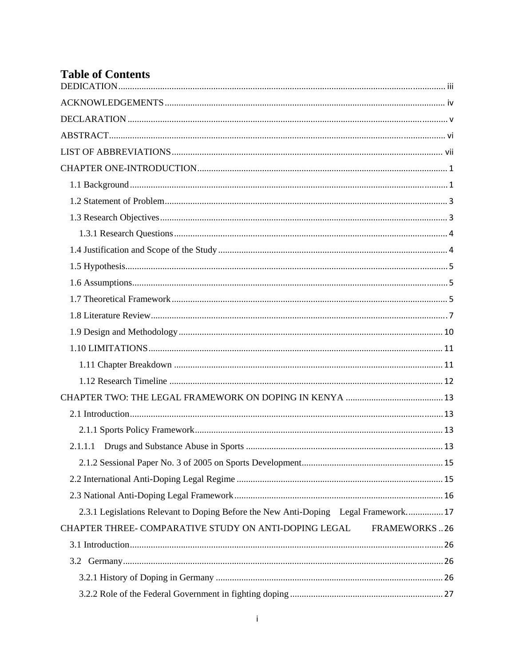# **Table of Contents**

| 2.3.1 Legislations Relevant to Doping Before the New Anti-Doping Legal Framework 17 |
|-------------------------------------------------------------------------------------|
| CHAPTER THREE- COMPARATIVE STUDY ON ANTI-DOPING LEGAL<br>FRAMEWORKS26               |
|                                                                                     |
|                                                                                     |
|                                                                                     |
|                                                                                     |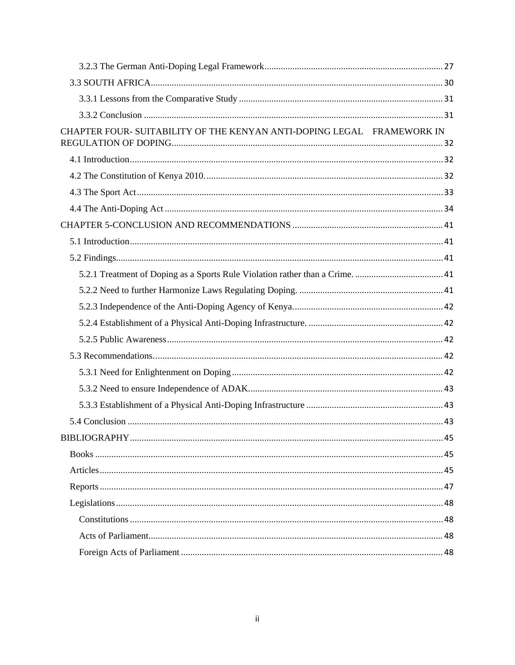| CHAPTER FOUR- SUITABILITY OF THE KENYAN ANTI-DOPING LEGAL FRAMEWORK IN |  |
|------------------------------------------------------------------------|--|
|                                                                        |  |
|                                                                        |  |
|                                                                        |  |
|                                                                        |  |
|                                                                        |  |
|                                                                        |  |
|                                                                        |  |
|                                                                        |  |
|                                                                        |  |
|                                                                        |  |
|                                                                        |  |
|                                                                        |  |
|                                                                        |  |
|                                                                        |  |
|                                                                        |  |
|                                                                        |  |
|                                                                        |  |
|                                                                        |  |
|                                                                        |  |
|                                                                        |  |
|                                                                        |  |
|                                                                        |  |
|                                                                        |  |
|                                                                        |  |
|                                                                        |  |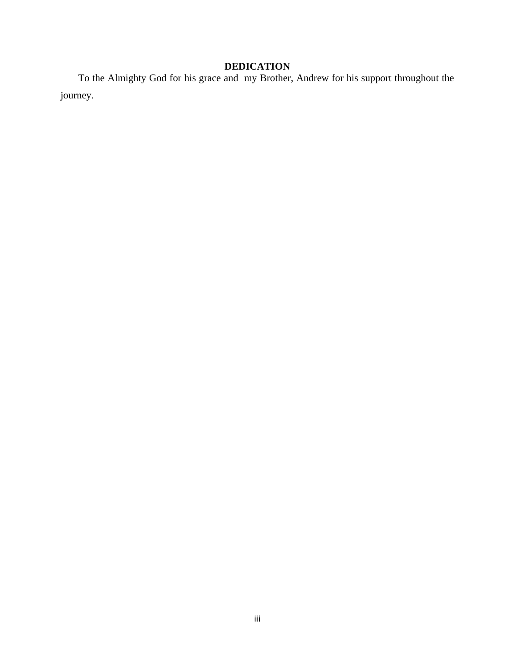# **DEDICATION**

 To the Almighty God for his grace and my Brother, Andrew for his support throughout the journey.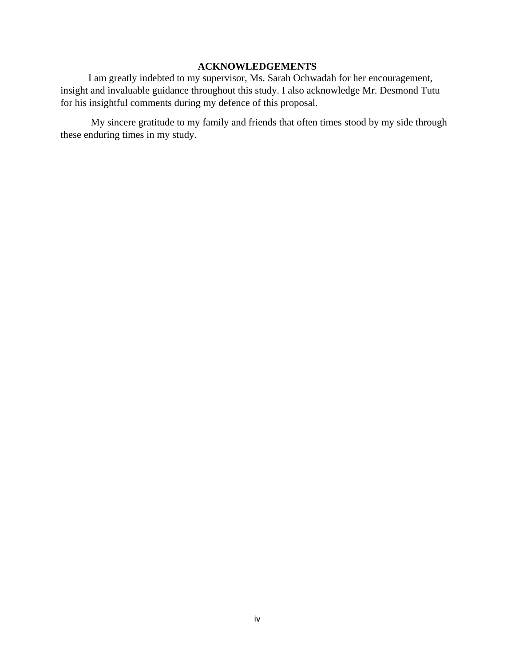## **ACKNOWLEDGEMENTS**

I am greatly indebted to my supervisor, Ms. Sarah Ochwadah for her encouragement, insight and invaluable guidance throughout this study. I also acknowledge Mr. Desmond Tutu for his insightful comments during my defence of this proposal.

 My sincere gratitude to my family and friends that often times stood by my side through these enduring times in my study.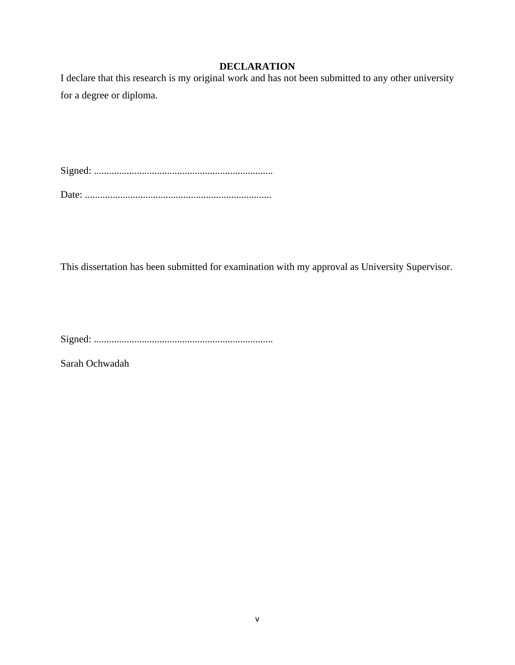## **DECLARATION**

I declare that this research is my original work and has not been submitted to any other university for a degree or diploma.

Signed: .......................................................................

Date: ..........................................................................

This dissertation has been submitted for examination with my approval as University Supervisor.

Signed: .......................................................................

Sarah Ochwadah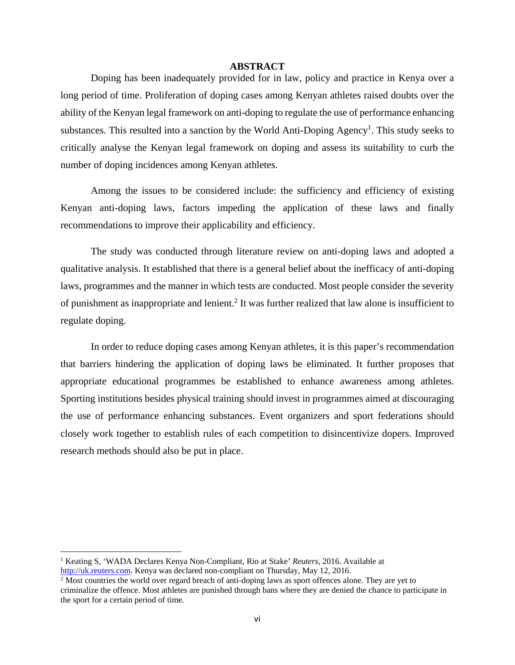#### **ABSTRACT**

Doping has been inadequately provided for in law, policy and practice in Kenya over a long period of time. Proliferation of doping cases among Kenyan athletes raised doubts over the ability of the Kenyan legal framework on anti-doping to regulate the use of performance enhancing substances. This resulted into a sanction by the World Anti-Doping Agency<sup>1</sup>. This study seeks to critically analyse the Kenyan legal framework on doping and assess its suitability to curb the number of doping incidences among Kenyan athletes.

Among the issues to be considered include: the sufficiency and efficiency of existing Kenyan anti-doping laws, factors impeding the application of these laws and finally recommendations to improve their applicability and efficiency.

The study was conducted through literature review on anti-doping laws and adopted a qualitative analysis. It established that there is a general belief about the inefficacy of anti-doping laws, programmes and the manner in which tests are conducted. Most people consider the severity of punishment as inappropriate and lenient.<sup>2</sup> It was further realized that law alone is insufficient to regulate doping.

In order to reduce doping cases among Kenyan athletes, it is this paper's recommendation that barriers hindering the application of doping laws be eliminated. It further proposes that appropriate educational programmes be established to enhance awareness among athletes. Sporting institutions besides physical training should invest in programmes aimed at discouraging the use of performance enhancing substances. Event organizers and sport federations should closely work together to establish rules of each competition to disincentivize dopers. Improved research methods should also be put in place.

<sup>&</sup>lt;sup>1</sup> Keating S, 'WADA Declares Kenya Non-Compliant, Rio at Stake' Reuters, 2016. Available at http://uk.reuters.com. Kenya was declared non-compliant on Thursday, May 12, 2016.

<sup>&</sup>lt;sup>2</sup> Most countries the world over regard breach of anti-doping laws as sport offences alone. They are yet to criminalize the offence. Most athletes are punished through bans where they are denied the chance to participate in the sport for a certain period of time.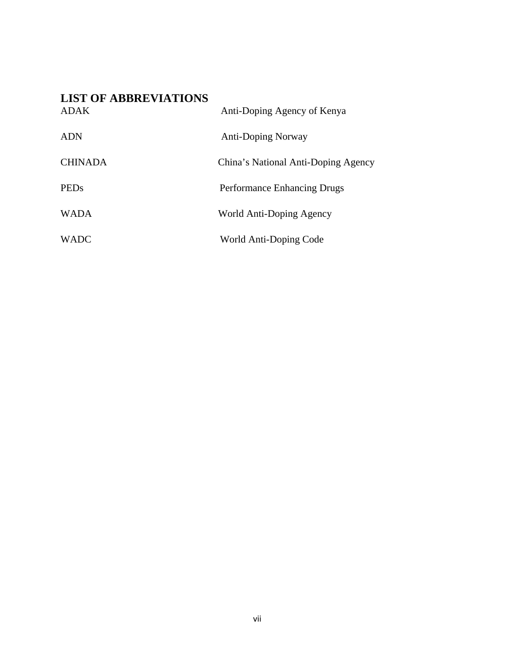# **LIST OF ABBREVIATIONS**

| <b>ADAK</b>    | Anti-Doping Agency of Kenya         |
|----------------|-------------------------------------|
| <b>ADN</b>     | <b>Anti-Doping Norway</b>           |
| <b>CHINADA</b> | China's National Anti-Doping Agency |
| <b>PEDs</b>    | <b>Performance Enhancing Drugs</b>  |
| <b>WADA</b>    | World Anti-Doping Agency            |
| <b>WADC</b>    | World Anti-Doping Code              |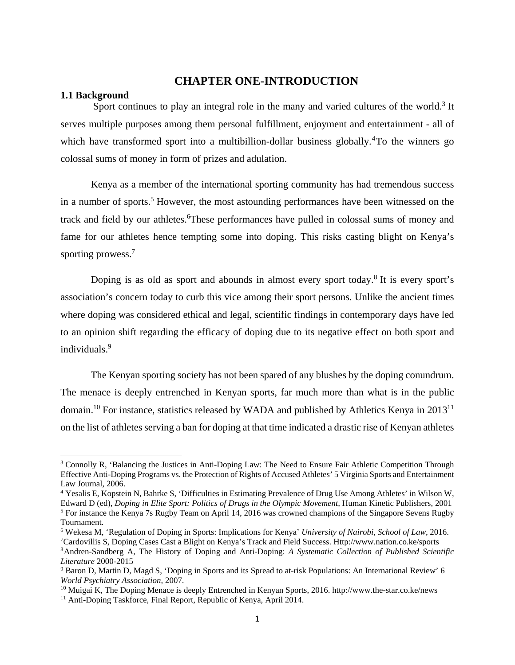## **CHAPTER ONE-INTRODUCTION**

#### **1.1 Background**

Sport continues to play an integral role in the many and varied cultures of the world.<sup>3</sup> It serves multiple purposes among them personal fulfillment, enjoyment and entertainment - all of which have transformed sport into a multibillion-dollar business globally.<sup>4</sup>To the winners go colossal sums of money in form of prizes and adulation.

 Kenya as a member of the international sporting community has had tremendous success in a number of sports.<sup>5</sup> However, the most astounding performances have been witnessed on the track and field by our athletes. These performances have pulled in colossal sums of money and fame for our athletes hence tempting some into doping. This risks casting blight on Kenya's sporting prowess.<sup>7</sup>

Doping is as old as sport and abounds in almost every sport today.<sup>8</sup> It is every sport's association's concern today to curb this vice among their sport persons. Unlike the ancient times where doping was considered ethical and legal, scientific findings in contemporary days have led to an opinion shift regarding the efficacy of doping due to its negative effect on both sport and individuals.9

 The Kenyan sporting society has not been spared of any blushes by the doping conundrum. The menace is deeply entrenched in Kenyan sports, far much more than what is in the public domain.<sup>10</sup> For instance, statistics released by WADA and published by Athletics Kenya in 2013<sup>11</sup> on the list of athletes serving a ban for doping at that time indicated a drastic rise of Kenyan athletes

<sup>&</sup>lt;sup>3</sup> Connolly R, 'Balancing the Justices in Anti-Doping Law: The Need to Ensure Fair Athletic Competition Through Effective Anti-Doping Programs vs. the Protection of Rights of Accused Athletes' 5 Virginia Sports and Entertainment Law Journal, 2006.

<sup>4</sup> Yesalis E, Kopstein N, Bahrke S, 'Difficulties in Estimating Prevalence of Drug Use Among Athletes' in Wilson W, Edward D (ed), *Doping in Elite Sport: Politics of Drugs in the Olympic Movement,* Human Kinetic Publishers, 2001 5

<sup>&</sup>lt;sup>5</sup> For instance the Kenya 7s Rugby Team on April 14, 2016 was crowned champions of the Singapore Sevens Rugby Tournament.

<sup>&</sup>lt;sup>6</sup> Wekesa M, 'Regulation of Doping in Sports: Implications for Kenya' *University of Nairobi, School of Law*, 2016.<br><sup>7</sup>Cardovillis S. Doping Gases Cast a Blight on Kenya's Track and Field Success. Http://www.nation.co.ke/ <sup>7</sup>Cardovillis S, Doping Cases Cast a Blight on Kenya's Track and Field Success. Http://www.nation.co.ke/sports 8Andren-Sandberg A, The History of Doping and Anti-Doping: *A Systematic Collection of Published Scientific* 

*Literature* 2000-2015 9

<sup>&</sup>lt;sup>9</sup> Baron D, Martin D, Magd S, 'Doping in Sports and its Spread to at-risk Populations: An International Review' 6

*World Psychiatry Association, 2007.*<br><sup>10</sup> Muigai K, The Doping Menace is deeply Entrenched in Kenyan Sports, 2016. http://www.the-star.co.ke/news <sup>11</sup> Anti-Doping Taskforce, Final Report, Republic of Kenya, April 2014.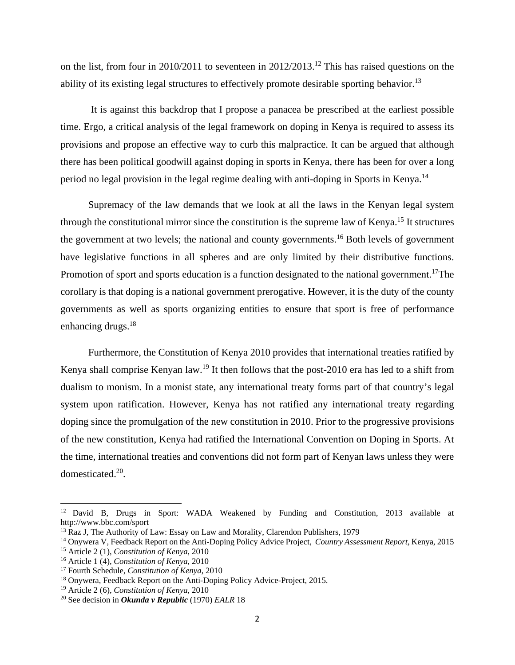on the list, from four in 2010/2011 to seventeen in 2012/2013.<sup>12</sup> This has raised questions on the ability of its existing legal structures to effectively promote desirable sporting behavior.<sup>13</sup>

 It is against this backdrop that I propose a panacea be prescribed at the earliest possible time. Ergo, a critical analysis of the legal framework on doping in Kenya is required to assess its provisions and propose an effective way to curb this malpractice. It can be argued that although there has been political goodwill against doping in sports in Kenya, there has been for over a long period no legal provision in the legal regime dealing with anti-doping in Sports in Kenya.<sup>14</sup>

 Supremacy of the law demands that we look at all the laws in the Kenyan legal system through the constitutional mirror since the constitution is the supreme law of Kenya.<sup>15</sup> It structures the government at two levels; the national and county governments.<sup>16</sup> Both levels of government have legislative functions in all spheres and are only limited by their distributive functions. Promotion of sport and sports education is a function designated to the national government.<sup>17</sup>The corollary is that doping is a national government prerogative. However, it is the duty of the county governments as well as sports organizing entities to ensure that sport is free of performance enhancing drugs.<sup>18</sup>

 Furthermore, the Constitution of Kenya 2010 provides that international treaties ratified by Kenya shall comprise Kenyan law.<sup>19</sup> It then follows that the post-2010 era has led to a shift from dualism to monism. In a monist state, any international treaty forms part of that country's legal system upon ratification. However, Kenya has not ratified any international treaty regarding doping since the promulgation of the new constitution in 2010. Prior to the progressive provisions of the new constitution, Kenya had ratified the International Convention on Doping in Sports. At the time, international treaties and conventions did not form part of Kenyan laws unless they were domesticated.20.

<sup>&</sup>lt;sup>12</sup> David B, Drugs in Sport: WADA Weakened by Funding and Constitution, 2013 available at http://www.bbc.com/sport

<sup>&</sup>lt;sup>13</sup> Raz J, The Authority of Law: Essay on Law and Morality, Clarendon Publishers, 1979

<sup>&</sup>lt;sup>14</sup> Onywera V, Feedback Report on the Anti-Doping Policy Advice Project, *Country Assessment Report*, Kenya, 2015<br><sup>15</sup> Article 2 (1), *Constitution of Kenya*, 2010<br><sup>16</sup> Article 1 (4), *Constitution of Kenya*, 2010<br><sup>17</sup> F

<sup>&</sup>lt;sup>19</sup> Article 2 (6), *Constitution of Kenya*, 2010<br><sup>20</sup> See decision in *Okunda v Republic* (1970) *EALR* 18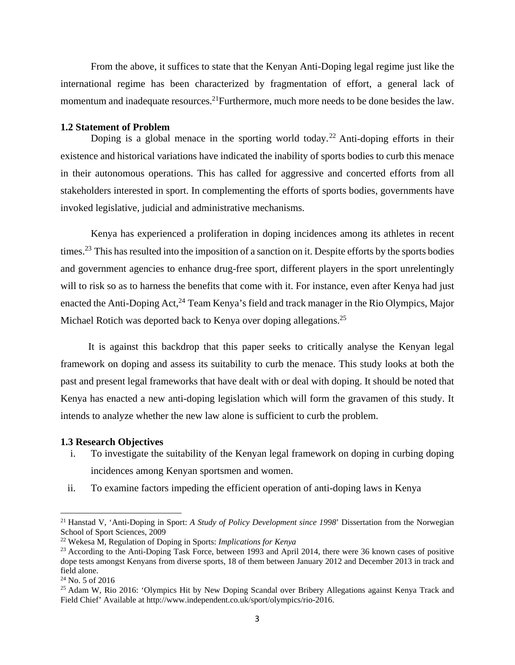From the above, it suffices to state that the Kenyan Anti-Doping legal regime just like the international regime has been characterized by fragmentation of effort, a general lack of momentum and inadequate resources.<sup>21</sup>Furthermore, much more needs to be done besides the law.

#### **1.2 Statement of Problem**

Doping is a global menace in the sporting world today.<sup>22</sup> Anti-doping efforts in their existence and historical variations have indicated the inability of sports bodies to curb this menace in their autonomous operations. This has called for aggressive and concerted efforts from all stakeholders interested in sport. In complementing the efforts of sports bodies, governments have invoked legislative, judicial and administrative mechanisms.

 Kenya has experienced a proliferation in doping incidences among its athletes in recent times.<sup>23</sup> This has resulted into the imposition of a sanction on it. Despite efforts by the sports bodies and government agencies to enhance drug-free sport, different players in the sport unrelentingly will to risk so as to harness the benefits that come with it. For instance, even after Kenya had just enacted the Anti-Doping Act,<sup>24</sup> Team Kenya's field and track manager in the Rio Olympics, Major Michael Rotich was deported back to Kenya over doping allegations.<sup>25</sup>

 It is against this backdrop that this paper seeks to critically analyse the Kenyan legal framework on doping and assess its suitability to curb the menace. This study looks at both the past and present legal frameworks that have dealt with or deal with doping. It should be noted that Kenya has enacted a new anti-doping legislation which will form the gravamen of this study. It intends to analyze whether the new law alone is sufficient to curb the problem.

#### **1.3 Research Objectives**

- i. To investigate the suitability of the Kenyan legal framework on doping in curbing doping incidences among Kenyan sportsmen and women.
- ii. To examine factors impeding the efficient operation of anti-doping laws in Kenya

<sup>21</sup> Hanstad V, 'Anti-Doping in Sport: *A Study of Policy Development since 1998*' Dissertation from the Norwegian School of Sport Sciences, 2009

<sup>22</sup> Wekesa M, Regulation of Doping in Sports: *Implications for Kenya*

<sup>&</sup>lt;sup>23</sup> According to the Anti-Doping Task Force, between 1993 and April 2014, there were 36 known cases of positive dope tests amongst Kenyans from diverse sports, 18 of them between January 2012 and December 2013 in track and field alone.

 $24$  No. 5 of 2016

<sup>&</sup>lt;sup>25</sup> Adam W, Rio 2016: 'Olympics Hit by New Doping Scandal over Bribery Allegations against Kenya Track and Field Chief' Available at http://www.independent.co.uk/sport/olympics/rio-2016.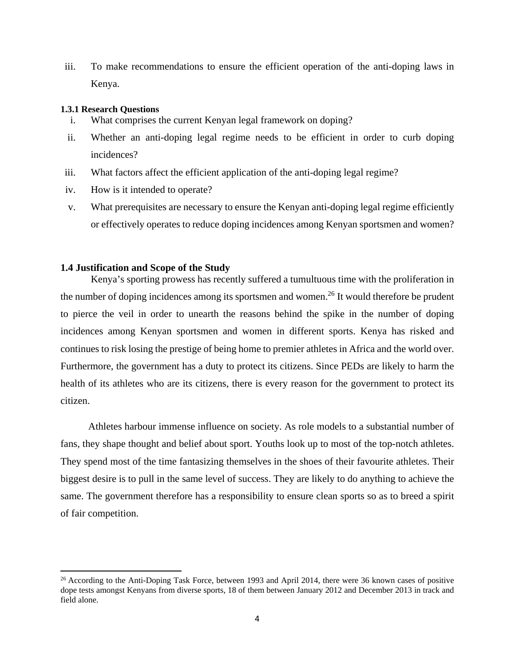iii. To make recommendations to ensure the efficient operation of the anti-doping laws in Kenya.

#### **1.3.1 Research Questions**

- i. What comprises the current Kenyan legal framework on doping?
- ii. Whether an anti-doping legal regime needs to be efficient in order to curb doping incidences?
- iii. What factors affect the efficient application of the anti-doping legal regime?
- iv. How is it intended to operate?
- v. What prerequisites are necessary to ensure the Kenyan anti-doping legal regime efficiently or effectively operates to reduce doping incidences among Kenyan sportsmen and women?

#### **1.4 Justification and Scope of the Study**

Kenya's sporting prowess has recently suffered a tumultuous time with the proliferation in the number of doping incidences among its sportsmen and women.<sup>26</sup> It would therefore be prudent to pierce the veil in order to unearth the reasons behind the spike in the number of doping incidences among Kenyan sportsmen and women in different sports. Kenya has risked and continues to risk losing the prestige of being home to premier athletes in Africa and the world over. Furthermore, the government has a duty to protect its citizens. Since PEDs are likely to harm the health of its athletes who are its citizens, there is every reason for the government to protect its citizen.

 Athletes harbour immense influence on society. As role models to a substantial number of fans, they shape thought and belief about sport. Youths look up to most of the top-notch athletes. They spend most of the time fantasizing themselves in the shoes of their favourite athletes. Their biggest desire is to pull in the same level of success. They are likely to do anything to achieve the same. The government therefore has a responsibility to ensure clean sports so as to breed a spirit of fair competition.

<sup>&</sup>lt;sup>26</sup> According to the Anti-Doping Task Force, between 1993 and April 2014, there were 36 known cases of positive dope tests amongst Kenyans from diverse sports, 18 of them between January 2012 and December 2013 in track and field alone.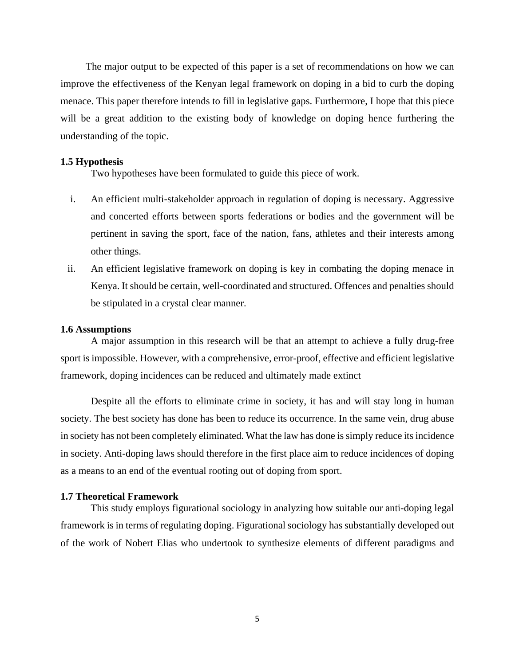The major output to be expected of this paper is a set of recommendations on how we can improve the effectiveness of the Kenyan legal framework on doping in a bid to curb the doping menace. This paper therefore intends to fill in legislative gaps. Furthermore, I hope that this piece will be a great addition to the existing body of knowledge on doping hence furthering the understanding of the topic.

## **1.5 Hypothesis**

Two hypotheses have been formulated to guide this piece of work.

- i. An efficient multi-stakeholder approach in regulation of doping is necessary. Aggressive and concerted efforts between sports federations or bodies and the government will be pertinent in saving the sport, face of the nation, fans, athletes and their interests among other things.
- ii. An efficient legislative framework on doping is key in combating the doping menace in Kenya. It should be certain, well-coordinated and structured. Offences and penalties should be stipulated in a crystal clear manner.

#### **1.6 Assumptions**

 A major assumption in this research will be that an attempt to achieve a fully drug-free sport is impossible. However, with a comprehensive, error-proof, effective and efficient legislative framework, doping incidences can be reduced and ultimately made extinct

Despite all the efforts to eliminate crime in society, it has and will stay long in human society. The best society has done has been to reduce its occurrence. In the same vein, drug abuse in society has not been completely eliminated. What the law has done is simply reduce its incidence in society. Anti-doping laws should therefore in the first place aim to reduce incidences of doping as a means to an end of the eventual rooting out of doping from sport.

#### **1.7 Theoretical Framework**

 This study employs figurational sociology in analyzing how suitable our anti-doping legal framework is in terms of regulating doping. Figurational sociology has substantially developed out of the work of Nobert Elias who undertook to synthesize elements of different paradigms and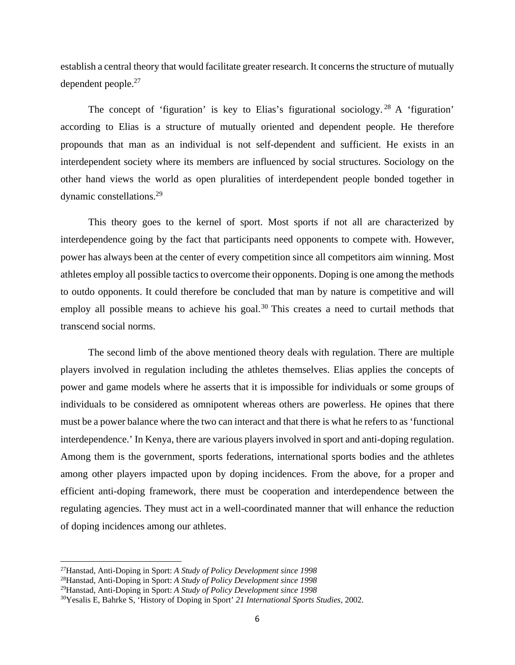establish a central theory that would facilitate greater research. It concerns the structure of mutually dependent people.27

The concept of 'figuration' is key to Elias's figurational sociology.<sup>28</sup> A 'figuration' according to Elias is a structure of mutually oriented and dependent people. He therefore propounds that man as an individual is not self-dependent and sufficient. He exists in an interdependent society where its members are influenced by social structures. Sociology on the other hand views the world as open pluralities of interdependent people bonded together in dynamic constellations.29

 This theory goes to the kernel of sport. Most sports if not all are characterized by interdependence going by the fact that participants need opponents to compete with. However, power has always been at the center of every competition since all competitors aim winning. Most athletes employ all possible tactics to overcome their opponents. Doping is one among the methods to outdo opponents. It could therefore be concluded that man by nature is competitive and will employ all possible means to achieve his goal.<sup>30</sup> This creates a need to curtail methods that transcend social norms.

 The second limb of the above mentioned theory deals with regulation. There are multiple players involved in regulation including the athletes themselves. Elias applies the concepts of power and game models where he asserts that it is impossible for individuals or some groups of individuals to be considered as omnipotent whereas others are powerless. He opines that there must be a power balance where the two can interact and that there is what he refers to as 'functional interdependence.' In Kenya, there are various players involved in sport and anti-doping regulation. Among them is the government, sports federations, international sports bodies and the athletes among other players impacted upon by doping incidences. From the above, for a proper and efficient anti-doping framework, there must be cooperation and interdependence between the regulating agencies. They must act in a well-coordinated manner that will enhance the reduction of doping incidences among our athletes.

<sup>27</sup>Hanstad, Anti-Doping in Sport: *A Study of Policy Development since 1998*

<sup>28</sup>Hanstad, Anti-Doping in Sport: *A Study of Policy Development since 1998*

<sup>29</sup>Hanstad, Anti-Doping in Sport: *A Study of Policy Development since 1998*

<sup>30</sup>Yesalis E, Bahrke S, 'History of Doping in Sport' *21 International Sports Studies,* 2002.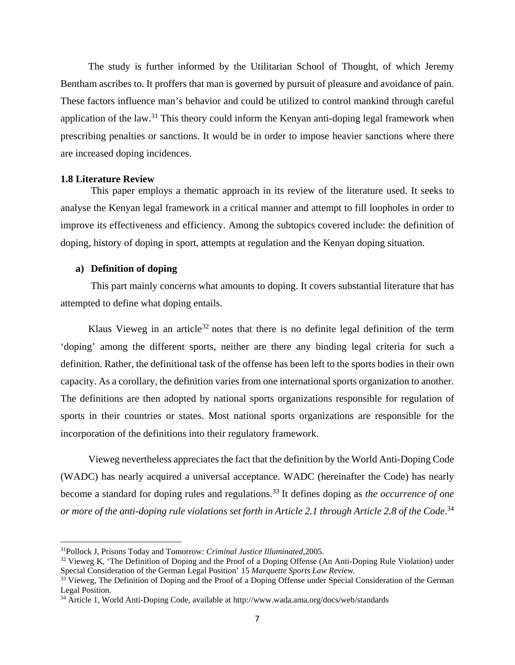The study is further informed by the Utilitarian School of Thought, of which Jeremy Bentham ascribes to. It proffers that man is governed by pursuit of pleasure and avoidance of pain. These factors influence man's behavior and could be utilized to control mankind through careful application of the law.<sup>31</sup> This theory could inform the Kenyan anti-doping legal framework when prescribing penalties or sanctions. It would be in order to impose heavier sanctions where there are increased doping incidences.

#### **1.8 Literature Review**

 This paper employs a thematic approach in its review of the literature used. It seeks to analyse the Kenyan legal framework in a critical manner and attempt to fill loopholes in order to improve its effectiveness and efficiency. Among the subtopics covered include: the definition of doping, history of doping in sport, attempts at regulation and the Kenyan doping situation.

## **a) Definition of doping**

 This part mainly concerns what amounts to doping. It covers substantial literature that has attempted to define what doping entails.

Klaus Vieweg in an article<sup>32</sup> notes that there is no definite legal definition of the term 'doping' among the different sports, neither are there any binding legal criteria for such a definition. Rather, the definitional task of the offense has been left to the sports bodies in their own capacity. As a corollary, the definition varies from one international sports organization to another. The definitions are then adopted by national sports organizations responsible for regulation of sports in their countries or states. Most national sports organizations are responsible for the incorporation of the definitions into their regulatory framework.

 Vieweg nevertheless appreciates the fact that the definition by the World Anti-Doping Code (WADC) has nearly acquired a universal acceptance. WADC (hereinafter the Code) has nearly become a standard for doping rules and regulations.<sup>33</sup> It defines doping as *the occurrence of one or more of the anti-doping rule violations set forth in Article 2.1 through Article 2.8 of the Code*. 34

<sup>&</sup>lt;sup>31</sup>Pollock J, Prisons Today and Tomorrow: *Criminal Justice Illuminated*, 2005.<br><sup>32</sup> Vieweg K, 'The Definition of Doping and the Proof of a Doping Offense (An Anti-Doping Rule Violation) under Special Consideration of the German Legal Position' 15 *Marquette Sports Law Review.*

<sup>&</sup>lt;sup>33</sup> Vieweg, The Definition of Doping and the Proof of a Doping Offense under Special Consideration of the German Legal Position.

<sup>34</sup> Article 1, World Anti-Doping Code, available at http://www.wada.ama.org/docs/web/standards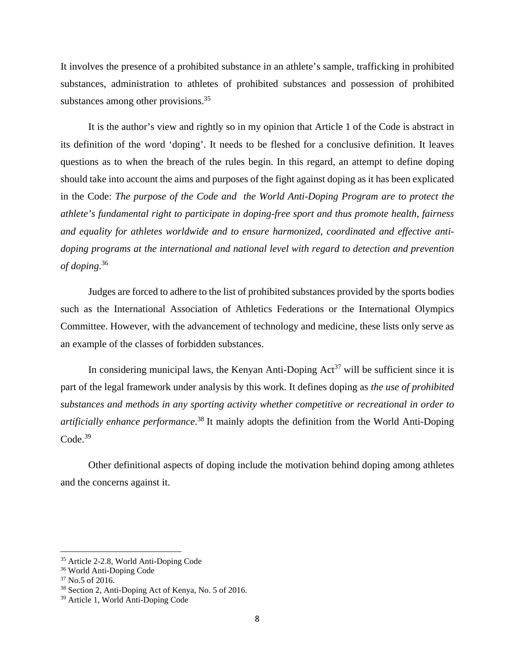It involves the presence of a prohibited substance in an athlete's sample, trafficking in prohibited substances, administration to athletes of prohibited substances and possession of prohibited substances among other provisions.<sup>35</sup>

 It is the author's view and rightly so in my opinion that Article 1 of the Code is abstract in its definition of the word 'doping'. It needs to be fleshed for a conclusive definition. It leaves questions as to when the breach of the rules begin. In this regard, an attempt to define doping should take into account the aims and purposes of the fight against doping as it has been explicated in the Code: *The purpose of the Code and the World Anti-Doping Program are to protect the athlete's fundamental right to participate in doping-free sport and thus promote health, fairness and equality for athletes worldwide and to ensure harmonized, coordinated and effective antidoping programs at the international and national level with regard to detection and prevention of doping*. 36

 Judges are forced to adhere to the list of prohibited substances provided by the sports bodies such as the International Association of Athletics Federations or the International Olympics Committee. However, with the advancement of technology and medicine, these lists only serve as an example of the classes of forbidden substances.

In considering municipal laws, the Kenyan Anti-Doping  $Act^{37}$  will be sufficient since it is part of the legal framework under analysis by this work. It defines doping as *the use of prohibited substances and methods in any sporting activity whether competitive or recreational in order to artificially enhance performance*. 38 It mainly adopts the definition from the World Anti-Doping  $Code.<sup>39</sup>$ 

 Other definitional aspects of doping include the motivation behind doping among athletes and the concerns against it.

<sup>35</sup> Article 2-2.8, World Anti-Doping Code

<sup>36</sup> World Anti-Doping Code

<sup>37</sup> No.5 of 2016.

<sup>38</sup> Section 2, Anti-Doping Act of Kenya, No. 5 of 2016.

<sup>39</sup> Article 1, World Anti-Doping Code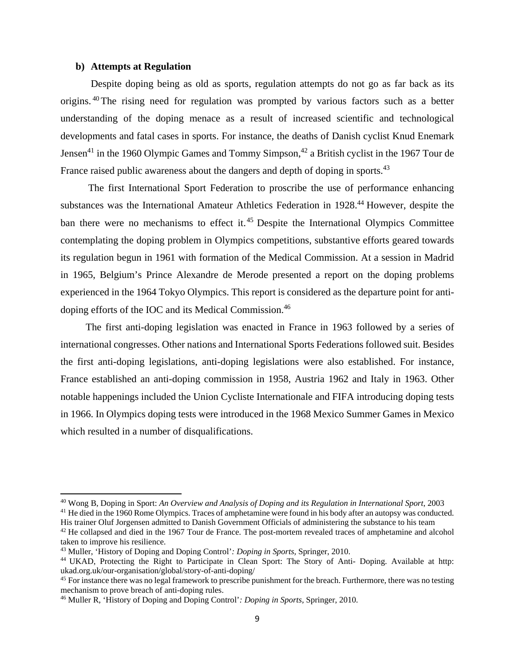## **b) Attempts at Regulation**

 Despite doping being as old as sports, regulation attempts do not go as far back as its origins. 40The rising need for regulation was prompted by various factors such as a better understanding of the doping menace as a result of increased scientific and technological developments and fatal cases in sports. For instance, the deaths of Danish cyclist Knud Enemark Jensen<sup>41</sup> in the 1960 Olympic Games and Tommy Simpson,<sup>42</sup> a British cyclist in the 1967 Tour de France raised public awareness about the dangers and depth of doping in sports.<sup>43</sup>

 The first International Sport Federation to proscribe the use of performance enhancing substances was the International Amateur Athletics Federation in 1928.<sup>44</sup> However, despite the ban there were no mechanisms to effect it.<sup>45</sup> Despite the International Olympics Committee contemplating the doping problem in Olympics competitions, substantive efforts geared towards its regulation begun in 1961 with formation of the Medical Commission. At a session in Madrid in 1965, Belgium's Prince Alexandre de Merode presented a report on the doping problems experienced in the 1964 Tokyo Olympics. This report is considered as the departure point for antidoping efforts of the IOC and its Medical Commission.46

 The first anti-doping legislation was enacted in France in 1963 followed by a series of international congresses. Other nations and International Sports Federations followed suit. Besides the first anti-doping legislations, anti-doping legislations were also established. For instance, France established an anti-doping commission in 1958, Austria 1962 and Italy in 1963. Other notable happenings included the Union Cycliste Internationale and FIFA introducing doping tests in 1966. In Olympics doping tests were introduced in the 1968 Mexico Summer Games in Mexico which resulted in a number of disqualifications.

<sup>&</sup>lt;sup>40</sup> Wong B, Doping in Sport: An Overview and Analysis of Doping and its Regulation in International Sport, 2003<br><sup>41</sup> He died in the 1960 Rome Olympics. Traces of amphetamine were found in his body after an autopsy was co

His trainer Oluf Jorgensen admitted to Danish Government Officials of administering the substance to his team

<sup>&</sup>lt;sup>42</sup> He collapsed and died in the 1967 Tour de France. The post-mortem revealed traces of amphetamine and alcohol taken to improve his resilience.<br><sup>43</sup> Muller, 'History of Doping and Doping Control': *Doping in Sports*, Springer, 2010.

<sup>&</sup>lt;sup>44</sup> UKAD, Protecting the Right to Participate in Clean Sport: The Story of Anti- Doping. Available at http: ukad.org.uk/our-organisation/global/story-of-anti-doping/

<sup>&</sup>lt;sup>45</sup> For instance there was no legal framework to prescribe punishment for the breach. Furthermore, there was no testing mechanism to prove breach of anti-doping rules.

<sup>46</sup> Muller R, 'History of Doping and Doping Control'*: Doping in Sports,* Springer, 2010.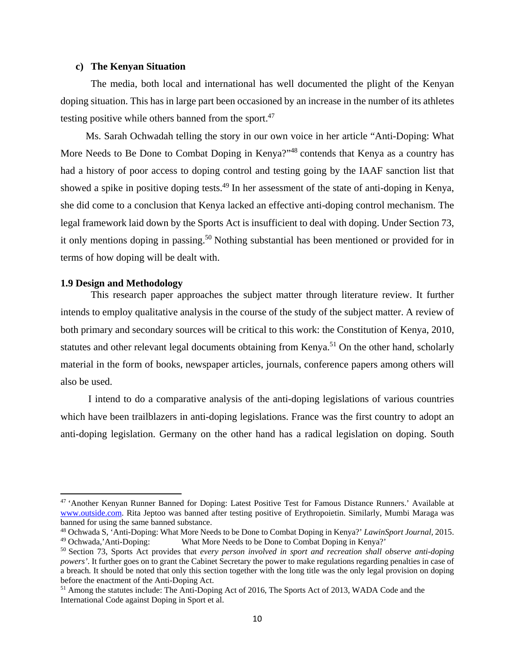## **c) The Kenyan Situation**

 The media, both local and international has well documented the plight of the Kenyan doping situation. This has in large part been occasioned by an increase in the number of its athletes testing positive while others banned from the sport.<sup>47</sup>

 Ms. Sarah Ochwadah telling the story in our own voice in her article "Anti-Doping: What More Needs to Be Done to Combat Doping in Kenya?"<sup>48</sup> contends that Kenya as a country has had a history of poor access to doping control and testing going by the IAAF sanction list that showed a spike in positive doping tests.<sup>49</sup> In her assessment of the state of anti-doping in Kenya, she did come to a conclusion that Kenya lacked an effective anti-doping control mechanism. The legal framework laid down by the Sports Act is insufficient to deal with doping. Under Section 73, it only mentions doping in passing.50 Nothing substantial has been mentioned or provided for in terms of how doping will be dealt with.

#### **1.9 Design and Methodology**

 This research paper approaches the subject matter through literature review. It further intends to employ qualitative analysis in the course of the study of the subject matter. A review of both primary and secondary sources will be critical to this work: the Constitution of Kenya, 2010, statutes and other relevant legal documents obtaining from Kenya.<sup>51</sup> On the other hand, scholarly material in the form of books, newspaper articles, journals, conference papers among others will also be used.

 I intend to do a comparative analysis of the anti-doping legislations of various countries which have been trailblazers in anti-doping legislations. France was the first country to adopt an anti-doping legislation. Germany on the other hand has a radical legislation on doping. South

<sup>47 &#</sup>x27;Another Kenyan Runner Banned for Doping: Latest Positive Test for Famous Distance Runners.' Available at www.outside.com. Rita Jeptoo was banned after testing positive of Erythropoietin. Similarly, Mumbi Maraga was banned for using the same banned substance.

<sup>48</sup> Ochwada S, 'Anti-Doping: What More Needs to be Done to Combat Doping in Kenya?' *LawinSport Journal,* 2015. What More Needs to be Done to Combat Doping in Kenya?'

<sup>50</sup> Section 73, Sports Act provides that *every person involved in sport and recreation shall observe anti-doping powers'*. It further goes on to grant the Cabinet Secretary the power to make regulations regarding penalties in case of a breach*.* It should be noted that only this section together with the long title was the only legal provision on doping before the enactment of the Anti-Doping Act.

<sup>&</sup>lt;sup>51</sup> Among the statutes include: The Anti-Doping Act of 2016, The Sports Act of 2013, WADA Code and the International Code against Doping in Sport et al.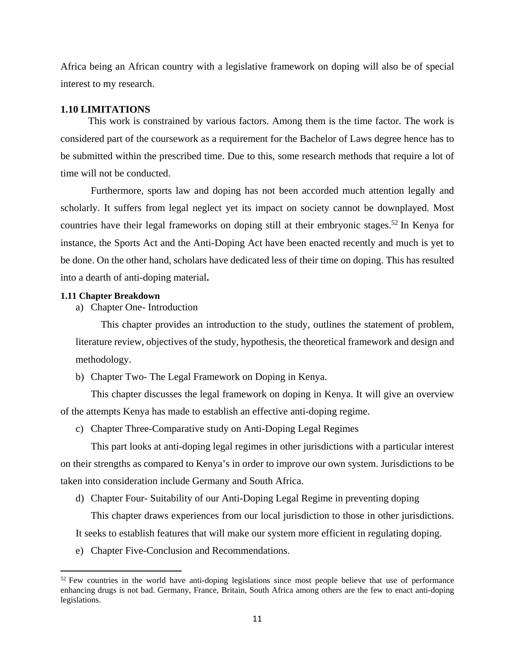Africa being an African country with a legislative framework on doping will also be of special interest to my research.

#### **1.10 LIMITATIONS**

 This work is constrained by various factors. Among them is the time factor. The work is considered part of the coursework as a requirement for the Bachelor of Laws degree hence has to be submitted within the prescribed time. Due to this, some research methods that require a lot of time will not be conducted.

 Furthermore, sports law and doping has not been accorded much attention legally and scholarly. It suffers from legal neglect yet its impact on society cannot be downplayed. Most countries have their legal frameworks on doping still at their embryonic stages.<sup>52</sup> In Kenya for instance, the Sports Act and the Anti-Doping Act have been enacted recently and much is yet to be done. On the other hand, scholars have dedicated less of their time on doping. This has resulted into a dearth of anti-doping material**.** 

#### **1.11 Chapter Breakdown**

a) Chapter One- Introduction

 This chapter provides an introduction to the study, outlines the statement of problem, literature review, objectives of the study, hypothesis, the theoretical framework and design and methodology.

b) Chapter Two- The Legal Framework on Doping in Kenya.

 This chapter discusses the legal framework on doping in Kenya. It will give an overview of the attempts Kenya has made to establish an effective anti-doping regime.

c) Chapter Three-Comparative study on Anti-Doping Legal Regimes

 This part looks at anti-doping legal regimes in other jurisdictions with a particular interest on their strengths as compared to Kenya's in order to improve our own system. Jurisdictions to be taken into consideration include Germany and South Africa.

d) Chapter Four- Suitability of our Anti-Doping Legal Regime in preventing doping

This chapter draws experiences from our local jurisdiction to those in other jurisdictions.

It seeks to establish features that will make our system more efficient in regulating doping.

e) Chapter Five-Conclusion and Recommendations.

<sup>&</sup>lt;sup>52</sup> Few countries in the world have anti-doping legislations since most people believe that use of performance enhancing drugs is not bad. Germany, France, Britain, South Africa among others are the few to enact anti-doping legislations.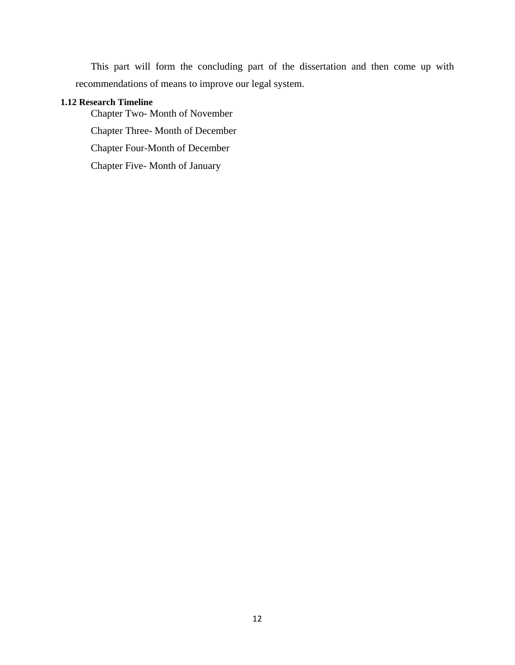This part will form the concluding part of the dissertation and then come up with recommendations of means to improve our legal system.

## **1.12 Research Timeline**

Chapter Two- Month of November Chapter Three- Month of December Chapter Four-Month of December Chapter Five- Month of January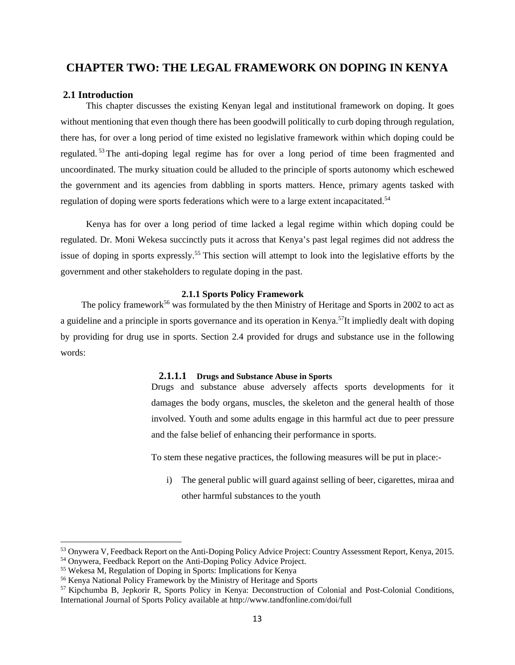## **CHAPTER TWO: THE LEGAL FRAMEWORK ON DOPING IN KENYA**

#### **2.1 Introduction**

This chapter discusses the existing Kenyan legal and institutional framework on doping. It goes without mentioning that even though there has been goodwill politically to curb doping through regulation, there has, for over a long period of time existed no legislative framework within which doping could be regulated. <sup>53</sup> The anti-doping legal regime has for over a long period of time been fragmented and uncoordinated. The murky situation could be alluded to the principle of sports autonomy which eschewed the government and its agencies from dabbling in sports matters. Hence, primary agents tasked with regulation of doping were sports federations which were to a large extent incapacitated.<sup>54</sup>

 Kenya has for over a long period of time lacked a legal regime within which doping could be regulated. Dr. Moni Wekesa succinctly puts it across that Kenya's past legal regimes did not address the issue of doping in sports expressly.<sup>55</sup> This section will attempt to look into the legislative efforts by the government and other stakeholders to regulate doping in the past.

#### **2.1.1 Sports Policy Framework**

The policy framework<sup>56</sup> was formulated by the then Ministry of Heritage and Sports in 2002 to act as a guideline and a principle in sports governance and its operation in Kenya.<sup>57</sup>It impliedly dealt with doping by providing for drug use in sports. Section 2.4 provided for drugs and substance use in the following words:

#### **2.1.1.1 Drugs and Substance Abuse in Sports**

Drugs and substance abuse adversely affects sports developments for it damages the body organs, muscles, the skeleton and the general health of those involved. Youth and some adults engage in this harmful act due to peer pressure and the false belief of enhancing their performance in sports.

To stem these negative practices, the following measures will be put in place:-

i) The general public will guard against selling of beer, cigarettes, miraa and other harmful substances to the youth

<sup>53</sup> Onywera V, Feedback Report on the Anti-Doping Policy Advice Project: Country Assessment Report, Kenya, 2015.

<sup>54</sup> Onywera, Feedback Report on the Anti-Doping Policy Advice Project.

<sup>55</sup> Wekesa M, Regulation of Doping in Sports: Implications for Kenya

<sup>56</sup> Kenya National Policy Framework by the Ministry of Heritage and Sports

<sup>57</sup> Kipchumba B, Jepkorir R, Sports Policy in Kenya: Deconstruction of Colonial and Post-Colonial Conditions, International Journal of Sports Policy available at http://www.tandfonline.com/doi/full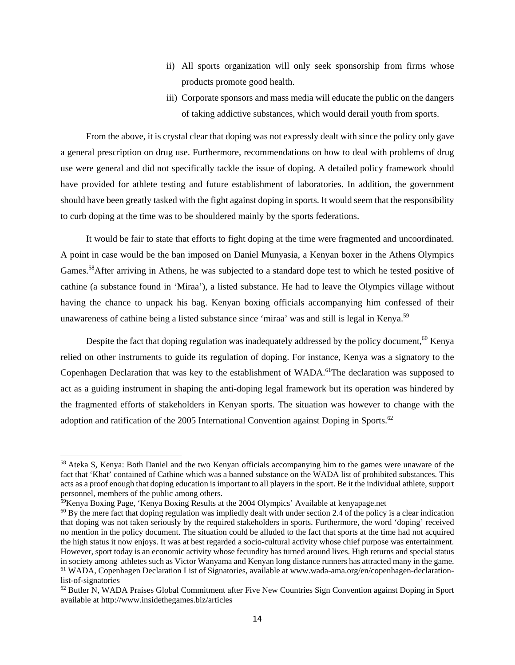- ii) All sports organization will only seek sponsorship from firms whose products promote good health.
- iii) Corporate sponsors and mass media will educate the public on the dangers of taking addictive substances, which would derail youth from sports.

 From the above, it is crystal clear that doping was not expressly dealt with since the policy only gave a general prescription on drug use. Furthermore, recommendations on how to deal with problems of drug use were general and did not specifically tackle the issue of doping. A detailed policy framework should have provided for athlete testing and future establishment of laboratories. In addition, the government should have been greatly tasked with the fight against doping in sports. It would seem that the responsibility to curb doping at the time was to be shouldered mainly by the sports federations.

 It would be fair to state that efforts to fight doping at the time were fragmented and uncoordinated. A point in case would be the ban imposed on Daniel Munyasia, a Kenyan boxer in the Athens Olympics Games.<sup>58</sup>After arriving in Athens, he was subjected to a standard dope test to which he tested positive of cathine (a substance found in 'Miraa'), a listed substance. He had to leave the Olympics village without having the chance to unpack his bag. Kenyan boxing officials accompanying him confessed of their unawareness of cathine being a listed substance since 'miraa' was and still is legal in Kenya.<sup>59</sup>

Despite the fact that doping regulation was inadequately addressed by the policy document,<sup>60</sup> Kenya relied on other instruments to guide its regulation of doping. For instance, Kenya was a signatory to the Copenhagen Declaration that was key to the establishment of WADA.<sup>61</sup>The declaration was supposed to act as a guiding instrument in shaping the anti-doping legal framework but its operation was hindered by the fragmented efforts of stakeholders in Kenyan sports. The situation was however to change with the adoption and ratification of the 2005 International Convention against Doping in Sports.<sup>62</sup>

<sup>58</sup> Ateka S, Kenya: Both Daniel and the two Kenyan officials accompanying him to the games were unaware of the fact that 'Khat' contained of Cathine which was a banned substance on the WADA list of prohibited substances. This acts as a proof enough that doping education is important to all players in the sport. Be it the individual athlete, support personnel, members of the public among others.

<sup>59</sup>Kenya Boxing Page, 'Kenya Boxing Results at the 2004 Olympics' Available at kenyapage.net

 $60$  By the mere fact that doping regulation was impliedly dealt with under section 2.4 of the policy is a clear indication that doping was not taken seriously by the required stakeholders in sports. Furthermore, the word 'doping' received no mention in the policy document. The situation could be alluded to the fact that sports at the time had not acquired the high status it now enjoys. It was at best regarded a socio-cultural activity whose chief purpose was entertainment. However, sport today is an economic activity whose fecundity has turned around lives. High returns and special status in society among athletes such as Victor Wanyama and Kenyan long distance runners has attracted many in the game. 61 WADA, Copenhagen Declaration List of Signatories, available at www.wada-ama.org/en/copenhagen-declarationlist-of-signatories

<sup>62</sup> Butler N, WADA Praises Global Commitment after Five New Countries Sign Convention against Doping in Sport available at http://www.insidethegames.biz/articles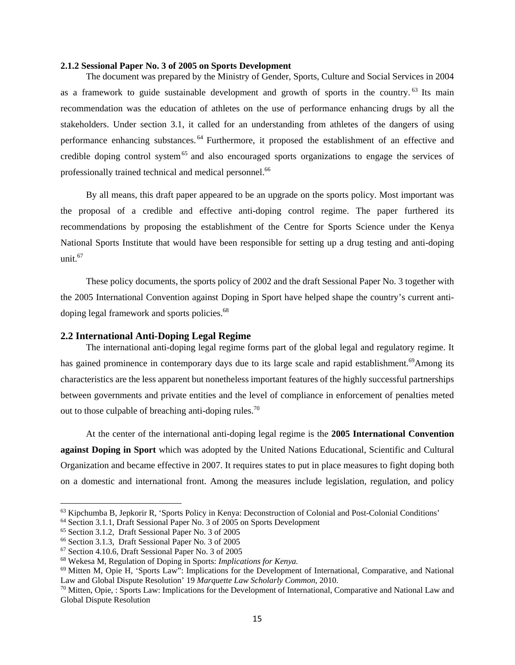#### **2.1.2 Sessional Paper No. 3 of 2005 on Sports Development**

 The document was prepared by the Ministry of Gender, Sports, Culture and Social Services in 2004 as a framework to guide sustainable development and growth of sports in the country.<sup>63</sup> Its main recommendation was the education of athletes on the use of performance enhancing drugs by all the stakeholders. Under section 3.1, it called for an understanding from athletes of the dangers of using performance enhancing substances. 64 Furthermore, it proposed the establishment of an effective and credible doping control system<sup>65</sup> and also encouraged sports organizations to engage the services of professionally trained technical and medical personnel.<sup>66</sup>

 By all means, this draft paper appeared to be an upgrade on the sports policy. Most important was the proposal of a credible and effective anti-doping control regime. The paper furthered its recommendations by proposing the establishment of the Centre for Sports Science under the Kenya National Sports Institute that would have been responsible for setting up a drug testing and anti-doping unit.<sup>67</sup>

 These policy documents, the sports policy of 2002 and the draft Sessional Paper No. 3 together with the 2005 International Convention against Doping in Sport have helped shape the country's current antidoping legal framework and sports policies.<sup>68</sup>

#### **2.2 International Anti-Doping Legal Regime**

The international anti-doping legal regime forms part of the global legal and regulatory regime. It has gained prominence in contemporary days due to its large scale and rapid establishment.<sup>69</sup>Among its characteristics are the less apparent but nonetheless important features of the highly successful partnerships between governments and private entities and the level of compliance in enforcement of penalties meted out to those culpable of breaching anti-doping rules.<sup>70</sup>

 At the center of the international anti-doping legal regime is the **2005 International Convention against Doping in Sport** which was adopted by the United Nations Educational, Scientific and Cultural Organization and became effective in 2007. It requires states to put in place measures to fight doping both on a domestic and international front. Among the measures include legislation, regulation, and policy

<sup>63</sup> Kipchumba B, Jepkorir R, 'Sports Policy in Kenya: Deconstruction of Colonial and Post-Colonial Conditions'

<sup>64</sup> Section 3.1.1, Draft Sessional Paper No. 3 of 2005 on Sports Development

<sup>65</sup> Section 3.1.2, Draft Sessional Paper No. 3 of 2005

<sup>66</sup> Section 3.1.3, Draft Sessional Paper No. 3 of 2005

<sup>67</sup> Section 4.10.6, Draft Sessional Paper No. 3 of 2005

<sup>68</sup> Wekesa M, Regulation of Doping in Sports: *Implications for Kenya.*

 $^{69}$  Mitten M, Opie H, 'Sports Law": Implications for the Development of International, Comparative, and National Law and Global Dispute Resolution' 19 *Marquette Law Scholarly Common*, 2010.

<sup>&</sup>lt;sup>70</sup> Mitten, Opie, : Sports Law: Implications for the Development of International, Comparative and National Law and Global Dispute Resolution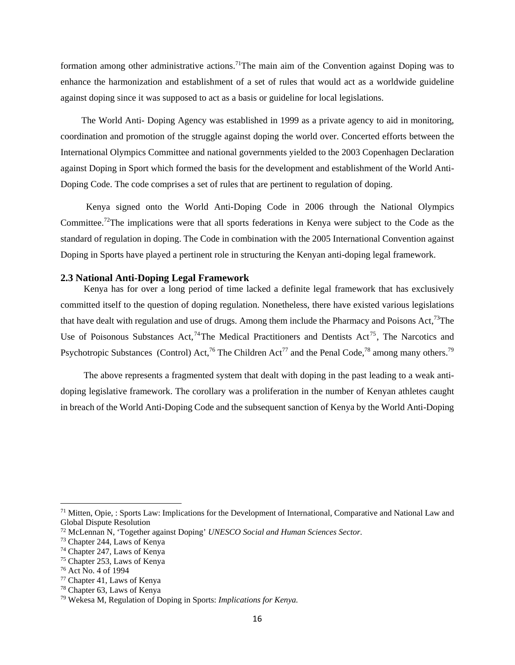formation among other administrative actions.<sup>71</sup>The main aim of the Convention against Doping was to enhance the harmonization and establishment of a set of rules that would act as a worldwide guideline against doping since it was supposed to act as a basis or guideline for local legislations.

 The World Anti- Doping Agency was established in 1999 as a private agency to aid in monitoring, coordination and promotion of the struggle against doping the world over. Concerted efforts between the International Olympics Committee and national governments yielded to the 2003 Copenhagen Declaration against Doping in Sport which formed the basis for the development and establishment of the World Anti-Doping Code. The code comprises a set of rules that are pertinent to regulation of doping.

 Kenya signed onto the World Anti-Doping Code in 2006 through the National Olympics Committee.72The implications were that all sports federations in Kenya were subject to the Code as the standard of regulation in doping. The Code in combination with the 2005 International Convention against Doping in Sports have played a pertinent role in structuring the Kenyan anti-doping legal framework.

#### **2.3 National Anti-Doping Legal Framework**

Kenya has for over a long period of time lacked a definite legal framework that has exclusively committed itself to the question of doping regulation. Nonetheless, there have existed various legislations that have dealt with regulation and use of drugs. Among them include the Pharmacy and Poisons Act,<sup>73</sup>The Use of Poisonous Substances Act,<sup>74</sup>The Medical Practitioners and Dentists Act<sup>75</sup>, The Narcotics and Psychotropic Substances (Control) Act,<sup>76</sup> The Children Act<sup>77</sup> and the Penal Code,<sup>78</sup> among many others.<sup>79</sup>

 The above represents a fragmented system that dealt with doping in the past leading to a weak antidoping legislative framework. The corollary was a proliferation in the number of Kenyan athletes caught in breach of the World Anti-Doping Code and the subsequent sanction of Kenya by the World Anti-Doping

<sup>&</sup>lt;sup>71</sup> Mitten, Opie, : Sports Law: Implications for the Development of International, Comparative and National Law and Global Dispute Resolution

<sup>72</sup> McLennan N, 'Together against Doping' *UNESCO Social and Human Sciences Sector.*

<sup>73</sup> Chapter 244, Laws of Kenya

<sup>74</sup> Chapter 247, Laws of Kenya

<sup>75</sup> Chapter 253, Laws of Kenya

<sup>76</sup> Act No. 4 of 1994

<sup>77</sup> Chapter 41, Laws of Kenya

<sup>78</sup> Chapter 63, Laws of Kenya

<sup>79</sup> Wekesa M, Regulation of Doping in Sports: *Implications for Kenya.*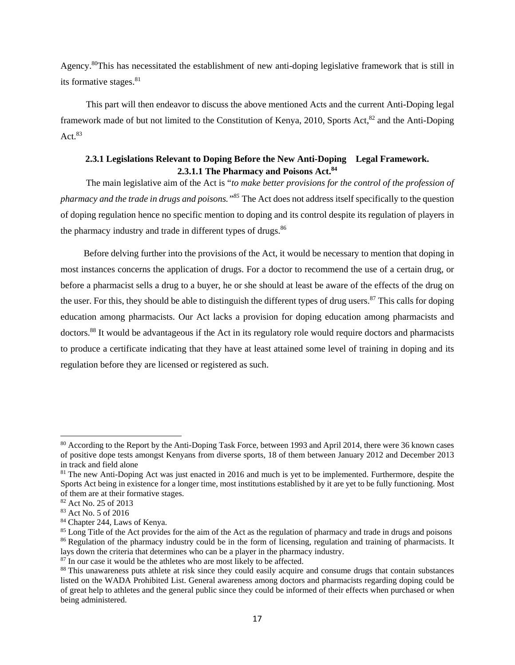Agency.80This has necessitated the establishment of new anti-doping legislative framework that is still in its formative stages. $81$ 

 This part will then endeavor to discuss the above mentioned Acts and the current Anti-Doping legal framework made of but not limited to the Constitution of Kenya, 2010, Sports Act, $^{82}$  and the Anti-Doping Act  $83$ 

## **2.3.1 Legislations Relevant to Doping Before the New Anti-Doping Legal Framework. 2.3.1.1 The Pharmacy and Poisons Act.84**

The main legislative aim of the Act is "*to make better provisions for the control of the profession of pharmacy and the trade in drugs and poisons."85* The Act does not address itself specifically to the question of doping regulation hence no specific mention to doping and its control despite its regulation of players in the pharmacy industry and trade in different types of drugs.<sup>86</sup>

 Before delving further into the provisions of the Act, it would be necessary to mention that doping in most instances concerns the application of drugs. For a doctor to recommend the use of a certain drug, or before a pharmacist sells a drug to a buyer, he or she should at least be aware of the effects of the drug on the user. For this, they should be able to distinguish the different types of drug users.<sup>87</sup> This calls for doping education among pharmacists. Our Act lacks a provision for doping education among pharmacists and doctors.88 It would be advantageous if the Act in its regulatory role would require doctors and pharmacists to produce a certificate indicating that they have at least attained some level of training in doping and its regulation before they are licensed or registered as such.

<sup>80</sup> According to the Report by the Anti-Doping Task Force, between 1993 and April 2014, there were 36 known cases of positive dope tests amongst Kenyans from diverse sports, 18 of them between January 2012 and December 2013 in track and field alone

<sup>&</sup>lt;sup>81</sup> The new Anti-Doping Act was just enacted in 2016 and much is yet to be implemented. Furthermore, despite the Sports Act being in existence for a longer time, most institutions established by it are yet to be fully functioning. Most of them are at their formative stages.

<sup>82</sup> Act No. 25 of 2013

<sup>83</sup> Act No. 5 of 2016

<sup>84</sup> Chapter 244, Laws of Kenya.

<sup>&</sup>lt;sup>85</sup> Long Title of the Act provides for the aim of the Act as the regulation of pharmacy and trade in drugs and poisons <sup>86</sup> Regulation of the pharmacy industry could be in the form of licensing, regulation and training of pharmacists. It lays down the criteria that determines who can be a player in the pharmacy industry.

 $87$  In our case it would be the athletes who are most likely to be affected.<br> $88$  This unawareness puts athlete at risk since they could easily acquire and consume drugs that contain substances listed on the WADA Prohibited List. General awareness among doctors and pharmacists regarding doping could be of great help to athletes and the general public since they could be informed of their effects when purchased or when being administered.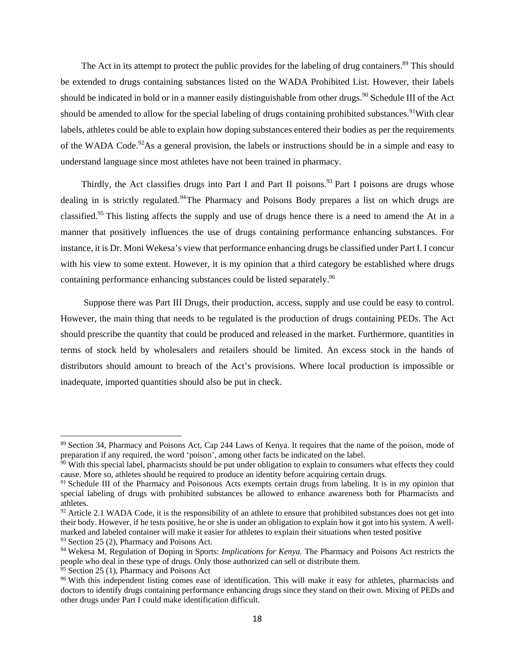The Act in its attempt to protect the public provides for the labeling of drug containers.<sup>89</sup> This should be extended to drugs containing substances listed on the WADA Prohibited List. However, their labels should be indicated in bold or in a manner easily distinguishable from other drugs.<sup>90</sup> Schedule III of the Act should be amended to allow for the special labeling of drugs containing prohibited substances.<sup>91</sup>With clear labels, athletes could be able to explain how doping substances entered their bodies as per the requirements of the WADA Code.<sup>92</sup>As a general provision, the labels or instructions should be in a simple and easy to understand language since most athletes have not been trained in pharmacy.

Thirdly, the Act classifies drugs into Part I and Part II poisons.<sup>93</sup> Part I poisons are drugs whose dealing in is strictly regulated.<sup>94</sup>The Pharmacy and Poisons Body prepares a list on which drugs are classified.<sup>95</sup> This listing affects the supply and use of drugs hence there is a need to amend the At in a manner that positively influences the use of drugs containing performance enhancing substances. For instance, it is Dr. Moni Wekesa's view that performance enhancing drugs be classified under Part I. I concur with his view to some extent. However, it is my opinion that a third category be established where drugs containing performance enhancing substances could be listed separately.<sup>96</sup>

 Suppose there was Part III Drugs, their production, access, supply and use could be easy to control. However, the main thing that needs to be regulated is the production of drugs containing PEDs. The Act should prescribe the quantity that could be produced and released in the market. Furthermore, quantities in terms of stock held by wholesalers and retailers should be limited. An excess stock in the hands of distributors should amount to breach of the Act's provisions. Where local production is impossible or inadequate, imported quantities should also be put in check.

<sup>89</sup> Section 34, Pharmacy and Poisons Act, Cap 244 Laws of Kenya. It requires that the name of the poison, mode of preparation if any required, the word 'poison', among other facts be indicated on the label.

 $90$  With this special label, pharmacists should be put under obligation to explain to consumers what effects they could cause. More so, athletes should be required to produce an identity before acquiring certain drugs.

<sup>&</sup>lt;sup>91</sup> Schedule III of the Pharmacy and Poisonous Acts exempts certain drugs from labeling. It is in my opinion that special labeling of drugs with prohibited substances be allowed to enhance awareness both for Pharmacists and athletes.

 $92$  Article 2.1 WADA Code, it is the responsibility of an athlete to ensure that prohibited substances does not get into their body. However, if he tests positive, he or she is under an obligation to explain how it got into his system. A wellmarked and labeled container will make it easier for athletes to explain their situations when tested positive  $93$  Section 25 (2), Pharmacy and Poisons Act.

<sup>94</sup> Wekesa M, Regulation of Doping in Sports: *Implications for Kenya.* The Pharmacy and Poisons Act restricts the people who deal in these type of drugs. Only those authorized can sell or distribute them.<br><sup>95</sup> Section 25 (1), Pharmacy and Poisons Act

<sup>&</sup>lt;sup>96</sup> With this independent listing comes ease of identification. This will make it easy for athletes, pharmacists and doctors to identify drugs containing performance enhancing drugs since they stand on their own. Mixing of PEDs and other drugs under Part I could make identification difficult.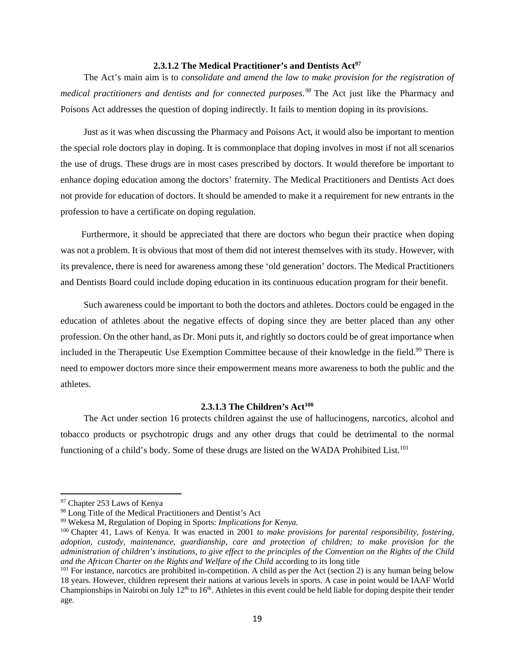## 2.3.1.2 The Medical Practitioner's and Dentists Act<sup>97</sup>

 The Act's main aim is to *consolidate and amend the law to make provision for the registration of medical practitioners and dentists and for connected purposes.<sup>98</sup>* The Act just like the Pharmacy and Poisons Act addresses the question of doping indirectly. It fails to mention doping in its provisions.

 Just as it was when discussing the Pharmacy and Poisons Act, it would also be important to mention the special role doctors play in doping. It is commonplace that doping involves in most if not all scenarios the use of drugs. These drugs are in most cases prescribed by doctors. It would therefore be important to enhance doping education among the doctors' fraternity. The Medical Practitioners and Dentists Act does not provide for education of doctors. It should be amended to make it a requirement for new entrants in the profession to have a certificate on doping regulation.

 Furthermore, it should be appreciated that there are doctors who begun their practice when doping was not a problem. It is obvious that most of them did not interest themselves with its study. However, with its prevalence, there is need for awareness among these 'old generation' doctors. The Medical Practitioners and Dentists Board could include doping education in its continuous education program for their benefit.

 Such awareness could be important to both the doctors and athletes. Doctors could be engaged in the education of athletes about the negative effects of doping since they are better placed than any other profession. On the other hand, as Dr. Moni puts it, and rightly so doctors could be of great importance when included in the Therapeutic Use Exemption Committee because of their knowledge in the field.<sup>99</sup> There is need to empower doctors more since their empowerment means more awareness to both the public and the athletes.

## **2.3.1.3 The Children's Act100**

The Act under section 16 protects children against the use of hallucinogens, narcotics, alcohol and tobacco products or psychotropic drugs and any other drugs that could be detrimental to the normal functioning of a child's body. Some of these drugs are listed on the WADA Prohibited List.<sup>101</sup>

<sup>97</sup> Chapter 253 Laws of Kenya

<sup>&</sup>lt;sup>98</sup> Long Title of the Medical Practitioners and Dentist's Act

<sup>99</sup> Wekesa M, Regulation of Doping in Sports: *Implications for Kenya.*

<sup>100</sup> Chapter 41, Laws of Kenya. It was enacted in 2001 *to make provisions for parental responsibility, fostering, adoption, custody, maintenance, guardianship, care and protection of children; to make provision for the administration of children's institutions, to give effect to the principles of the Convention on the Rights of the Child and the African Charter on the Rights and Welfare of the Child according to its long title*<br><sup>101</sup> For instance, narcotics are prohibited in-competition. A child as per the Act (section 2) is any human being below

<sup>18</sup> years. However, children represent their nations at various levels in sports. A case in point would be IAAF World Championships in Nairobi on July 12<sup>th</sup> to 16<sup>th</sup>. Athletes in this event could be held liable for doping despite their tender age.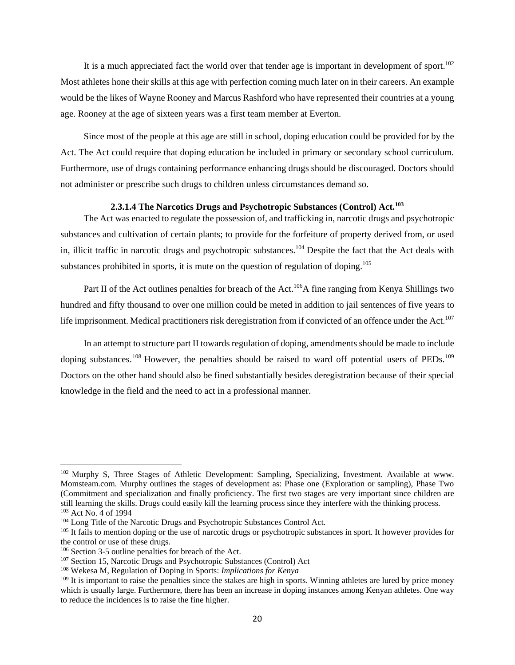It is a much appreciated fact the world over that tender age is important in development of sport.<sup>102</sup> Most athletes hone their skills at this age with perfection coming much later on in their careers. An example would be the likes of Wayne Rooney and Marcus Rashford who have represented their countries at a young age. Rooney at the age of sixteen years was a first team member at Everton.

 Since most of the people at this age are still in school, doping education could be provided for by the Act. The Act could require that doping education be included in primary or secondary school curriculum. Furthermore, use of drugs containing performance enhancing drugs should be discouraged. Doctors should not administer or prescribe such drugs to children unless circumstances demand so.

#### **2.3.1.4 The Narcotics Drugs and Psychotropic Substances (Control) Act.103**

The Act was enacted to regulate the possession of, and trafficking in, narcotic drugs and psychotropic substances and cultivation of certain plants; to provide for the forfeiture of property derived from, or used in, illicit traffic in narcotic drugs and psychotropic substances.<sup>104</sup> Despite the fact that the Act deals with substances prohibited in sports, it is mute on the question of regulation of doping.<sup>105</sup>

Part II of the Act outlines penalties for breach of the Act.<sup>106</sup>A fine ranging from Kenya Shillings two hundred and fifty thousand to over one million could be meted in addition to jail sentences of five years to life imprisonment. Medical practitioners risk deregistration from if convicted of an offence under the Act.<sup>107</sup>

 In an attempt to structure part II towards regulation of doping, amendments should be made to include doping substances.<sup>108</sup> However, the penalties should be raised to ward off potential users of PEDs.<sup>109</sup> Doctors on the other hand should also be fined substantially besides deregistration because of their special knowledge in the field and the need to act in a professional manner.

<sup>&</sup>lt;sup>102</sup> Murphy S, Three Stages of Athletic Development: Sampling, Specializing, Investment. Available at www. Momsteam.com. Murphy outlines the stages of development as: Phase one (Exploration or sampling), Phase Two (Commitment and specialization and finally proficiency. The first two stages are very important since children are still learning the skills. Drugs could easily kill the learning process since they interfere with the thinking process.<br><sup>103</sup> Act No. 4 of 1994<br><sup>104</sup> Long Title of the Narcotic Drugs and Psychotropic Substances Control Act

the control or use of these drugs.<br><sup>106</sup> Section 3-5 outline penalties for breach of the Act.

<sup>&</sup>lt;sup>107</sup> Section 15, Narcotic Drugs and Psychotropic Substances (Control) Act<sup>108</sup> Wekesa M, Regulation of Doping in Sports: *Implications for Kenya* 

<sup>&</sup>lt;sup>109</sup> It is important to raise the penalties since the stakes are high in sports. Winning athletes are lured by price money which is usually large. Furthermore, there has been an increase in doping instances among Kenyan athletes. One way to reduce the incidences is to raise the fine higher.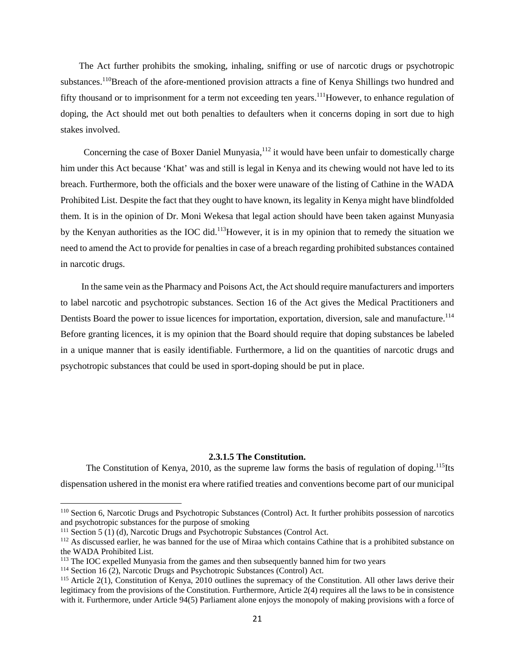The Act further prohibits the smoking, inhaling, sniffing or use of narcotic drugs or psychotropic substances.<sup>110</sup>Breach of the afore-mentioned provision attracts a fine of Kenya Shillings two hundred and fifty thousand or to imprisonment for a term not exceeding ten years.<sup>111</sup>However, to enhance regulation of doping, the Act should met out both penalties to defaulters when it concerns doping in sort due to high stakes involved.

Concerning the case of Boxer Daniel Munyasia, $^{112}$  it would have been unfair to domestically charge him under this Act because 'Khat' was and still is legal in Kenya and its chewing would not have led to its breach. Furthermore, both the officials and the boxer were unaware of the listing of Cathine in the WADA Prohibited List. Despite the fact that they ought to have known, its legality in Kenya might have blindfolded them. It is in the opinion of Dr. Moni Wekesa that legal action should have been taken against Munyasia by the Kenyan authorities as the IOC did.<sup>113</sup>However, it is in my opinion that to remedy the situation we need to amend the Act to provide for penalties in case of a breach regarding prohibited substances contained in narcotic drugs.

 In the same vein as the Pharmacy and Poisons Act, the Act should require manufacturers and importers to label narcotic and psychotropic substances. Section 16 of the Act gives the Medical Practitioners and Dentists Board the power to issue licences for importation, exportation, diversion, sale and manufacture.<sup>114</sup> Before granting licences, it is my opinion that the Board should require that doping substances be labeled in a unique manner that is easily identifiable. Furthermore, a lid on the quantities of narcotic drugs and psychotropic substances that could be used in sport-doping should be put in place.

## **2.3.1.5 The Constitution.**

The Constitution of Kenya, 2010, as the supreme law forms the basis of regulation of doping.<sup>115</sup>Its dispensation ushered in the monist era where ratified treaties and conventions become part of our municipal

<sup>&</sup>lt;sup>110</sup> Section 6, Narcotic Drugs and Psychotropic Substances (Control) Act. It further prohibits possession of narcotics and psychotropic substances for the purpose of smoking<br><sup>111</sup> Section 5 (1) (d), Narcotic Drugs and Psychotropic Substances (Control Act.

<sup>&</sup>lt;sup>112</sup> As discussed earlier, he was banned for the use of Miraa which contains Cathine that is a prohibited substance on the WADA Prohibited List.

<sup>&</sup>lt;sup>113</sup> The IOC expelled Munyasia from the games and then subsequently banned him for two years<br><sup>114</sup> Section 16 (2), Narcotic Drugs and Psychotropic Substances (Control) Act.<br><sup>115</sup> Article 2(1), Constitution of Kenya, 2010

legitimacy from the provisions of the Constitution. Furthermore, Article 2(4) requires all the laws to be in consistence with it. Furthermore, under Article 94(5) Parliament alone enjoys the monopoly of making provisions with a force of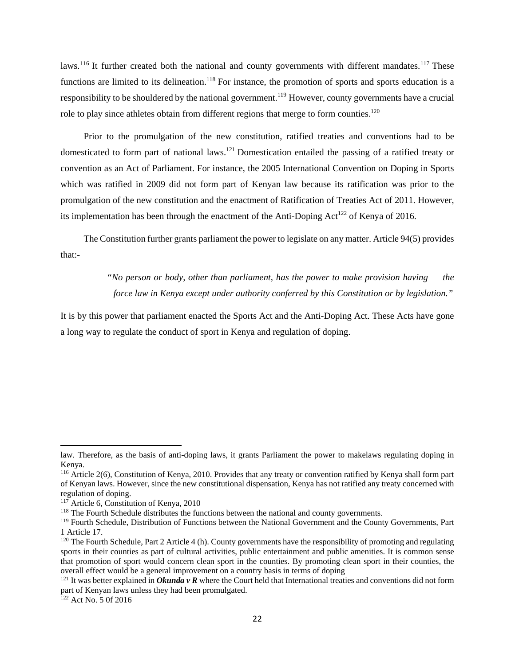laws.<sup>116</sup> It further created both the national and county governments with different mandates.<sup>117</sup> These functions are limited to its delineation.<sup>118</sup> For instance, the promotion of sports and sports education is a responsibility to be shouldered by the national government.<sup>119</sup> However, county governments have a crucial role to play since athletes obtain from different regions that merge to form counties.<sup>120</sup>

 Prior to the promulgation of the new constitution, ratified treaties and conventions had to be domesticated to form part of national laws.121 Domestication entailed the passing of a ratified treaty or convention as an Act of Parliament. For instance, the 2005 International Convention on Doping in Sports which was ratified in 2009 did not form part of Kenyan law because its ratification was prior to the promulgation of the new constitution and the enactment of Ratification of Treaties Act of 2011. However, its implementation has been through the enactment of the Anti-Doping  $Act^{122}$  of Kenya of 2016.

 The Constitution further grants parliament the power to legislate on any matter. Article 94(5) provides that:-

> *"No person or body, other than parliament, has the power to make provision having the force law in Kenya except under authority conferred by this Constitution or by legislation."*

It is by this power that parliament enacted the Sports Act and the Anti-Doping Act. These Acts have gone a long way to regulate the conduct of sport in Kenya and regulation of doping.

law. Therefore, as the basis of anti-doping laws, it grants Parliament the power to makelaws regulating doping in Kenya.

<sup>116</sup> Article 2(6), Constitution of Kenya, 2010. Provides that any treaty or convention ratified by Kenya shall form part of Kenyan laws. However, since the new constitutional dispensation, Kenya has not ratified any treaty concerned with regulation of doping.<br><sup>117</sup> Article 6, Constitution of Kenya, 2010

<sup>&</sup>lt;sup>118</sup> The Fourth Schedule distributes the functions between the national and county governments.

<sup>&</sup>lt;sup>119</sup> Fourth Schedule, Distribution of Functions between the National Government and the County Governments, Part 1 Article 17.

 $120$  The Fourth Schedule, Part 2 Article 4 (h). County governments have the responsibility of promoting and regulating sports in their counties as part of cultural activities, public entertainment and public amenities. It is common sense that promotion of sport would concern clean sport in the counties. By promoting clean sport in their counties, the overall effect would be a general improvement on a country basis in terms of doping

<sup>&</sup>lt;sup>121</sup> It was better explained in *Okunda v R* where the Court held that International treaties and conventions did not form part of Kenyan laws unless they had been promulgated.

<sup>&</sup>lt;sup>122</sup> Act No. 5 0f 2016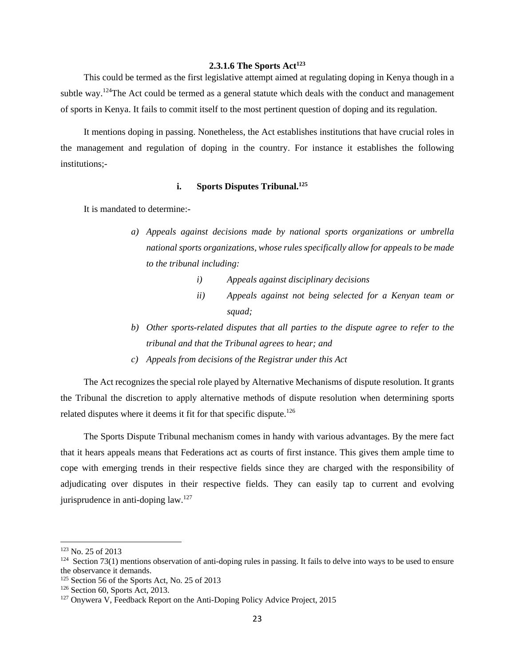## **2.3.1.6 The Sports Act123**

 This could be termed as the first legislative attempt aimed at regulating doping in Kenya though in a subtle way.<sup>124</sup>The Act could be termed as a general statute which deals with the conduct and management of sports in Kenya. It fails to commit itself to the most pertinent question of doping and its regulation.

 It mentions doping in passing. Nonetheless, the Act establishes institutions that have crucial roles in the management and regulation of doping in the country. For instance it establishes the following institutions;-

## **i.** Sports Disputes Tribunal.<sup>125</sup>

It is mandated to determine:-

- *a) Appeals against decisions made by national sports organizations or umbrella national sports organizations, whose rules specifically allow for appeals to be made to the tribunal including:* 
	- *i) Appeals against disciplinary decisions*
	- *ii) Appeals against not being selected for a Kenyan team or squad;*
- *b) Other sports-related disputes that all parties to the dispute agree to refer to the tribunal and that the Tribunal agrees to hear; and*
- *c) Appeals from decisions of the Registrar under this Act*

 The Act recognizes the special role played by Alternative Mechanisms of dispute resolution. It grants the Tribunal the discretion to apply alternative methods of dispute resolution when determining sports related disputes where it deems it fit for that specific dispute.<sup>126</sup>

 The Sports Dispute Tribunal mechanism comes in handy with various advantages. By the mere fact that it hears appeals means that Federations act as courts of first instance. This gives them ample time to cope with emerging trends in their respective fields since they are charged with the responsibility of adjudicating over disputes in their respective fields. They can easily tap to current and evolving jurisprudence in anti-doping law.<sup>127</sup>

<sup>&</sup>lt;sup>123</sup> No. 25 of 2013<br><sup>124</sup> Section 73(1) mentions observation of anti-doping rules in passing. It fails to delve into ways to be used to ensure the observance it demands.<br><sup>125</sup> Section 56 of the Sports Act, No. 25 of 2013

<sup>&</sup>lt;sup>126</sup> Section 60, Sports Act, 2013.<br><sup>127</sup> Onywera V, Feedback Report on the Anti-Doping Policy Advice Project, 2015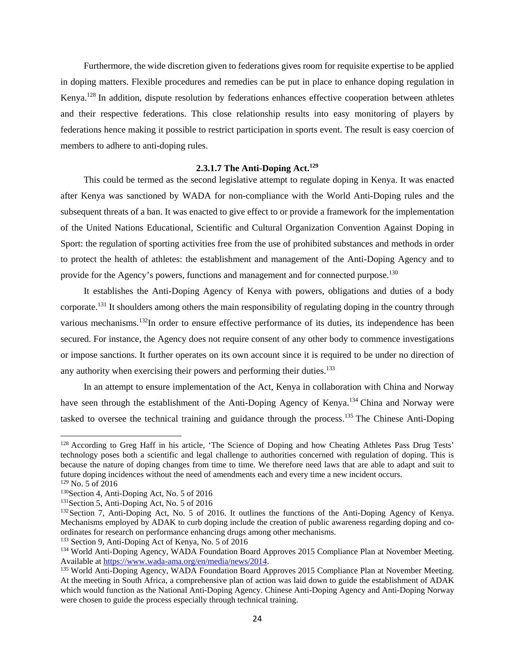Furthermore, the wide discretion given to federations gives room for requisite expertise to be applied in doping matters. Flexible procedures and remedies can be put in place to enhance doping regulation in Kenya.128 In addition, dispute resolution by federations enhances effective cooperation between athletes and their respective federations. This close relationship results into easy monitoring of players by federations hence making it possible to restrict participation in sports event. The result is easy coercion of members to adhere to anti-doping rules.

#### **2.3.1.7 The Anti-Doping Act.129**

This could be termed as the second legislative attempt to regulate doping in Kenya. It was enacted after Kenya was sanctioned by WADA for non-compliance with the World Anti-Doping rules and the subsequent threats of a ban. It was enacted to give effect to or provide a framework for the implementation of the United Nations Educational, Scientific and Cultural Organization Convention Against Doping in Sport: the regulation of sporting activities free from the use of prohibited substances and methods in order to protect the health of athletes: the establishment and management of the Anti-Doping Agency and to provide for the Agency's powers, functions and management and for connected purpose.<sup>130</sup>

 It establishes the Anti-Doping Agency of Kenya with powers, obligations and duties of a body corporate.<sup>131</sup> It shoulders among others the main responsibility of regulating doping in the country through various mechanisms.<sup>132</sup>In order to ensure effective performance of its duties, its independence has been secured. For instance, the Agency does not require consent of any other body to commence investigations or impose sanctions. It further operates on its own account since it is required to be under no direction of any authority when exercising their powers and performing their duties.<sup>133</sup>

 In an attempt to ensure implementation of the Act, Kenya in collaboration with China and Norway have seen through the establishment of the Anti-Doping Agency of Kenya.<sup>134</sup> China and Norway were tasked to oversee the technical training and guidance through the process.<sup>135</sup> The Chinese Anti-Doping

<sup>&</sup>lt;sup>128</sup> According to Greg Haff in his article, 'The Science of Doping and how Cheating Athletes Pass Drug Tests' technology poses both a scientific and legal challenge to authorities concerned with regulation of doping. This is because the nature of doping changes from time to time. We therefore need laws that are able to adapt and suit to future doping incidences without the need of amendments each and every time a new incident occurs.

<sup>&</sup>lt;sup>129</sup> No. 5 of 2016<br><sup>130</sup>Section 4, Anti-Doping Act, No. 5 of 2016<br><sup>131</sup>Section 5, Anti-Doping Act, No. 5 of 2016. It outlines the functions of the Anti-Doping Agency of Kenya.<br><sup>132</sup>Section 7, Anti-Doping Act, No. 5 of 20 Mechanisms employed by ADAK to curb doping include the creation of public awareness regarding doping and coordinates for research on performance enhancing drugs among other mechanisms.<br><sup>133</sup> Section 9, Anti-Doping Act of Kenya, No. 5 of 2016

<sup>&</sup>lt;sup>134</sup> World Anti-Doping Agency, WADA Foundation Board Approves 2015 Compliance Plan at November Meeting. Available at https://www.wada-ama.org/en/media/news/2014.<br><sup>135</sup> World Anti-Doping Agency, WADA Foundation Board Approves 2015 Compliance Plan at November Meeting.

At the meeting in South Africa, a comprehensive plan of action was laid down to guide the establishment of ADAK which would function as the National Anti-Doping Agency. Chinese Anti-Doping Agency and Anti-Doping Norway were chosen to guide the process especially through technical training.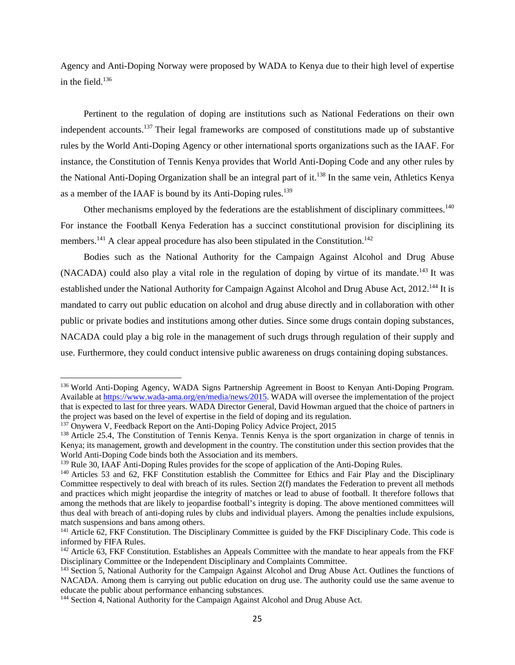Agency and Anti-Doping Norway were proposed by WADA to Kenya due to their high level of expertise in the field. $136$ 

 Pertinent to the regulation of doping are institutions such as National Federations on their own independent accounts.137 Their legal frameworks are composed of constitutions made up of substantive rules by the World Anti-Doping Agency or other international sports organizations such as the IAAF. For instance, the Constitution of Tennis Kenya provides that World Anti-Doping Code and any other rules by the National Anti-Doping Organization shall be an integral part of it.<sup>138</sup> In the same vein, Athletics Kenya as a member of the IAAF is bound by its Anti-Doping rules.<sup>139</sup>

Other mechanisms employed by the federations are the establishment of disciplinary committees.<sup>140</sup> For instance the Football Kenya Federation has a succinct constitutional provision for disciplining its members.<sup>141</sup> A clear appeal procedure has also been stipulated in the Constitution.<sup>142</sup>

 Bodies such as the National Authority for the Campaign Against Alcohol and Drug Abuse (NACADA) could also play a vital role in the regulation of doping by virtue of its mandate.<sup>143</sup> It was established under the National Authority for Campaign Against Alcohol and Drug Abuse Act, 2012.<sup>144</sup> It is mandated to carry out public education on alcohol and drug abuse directly and in collaboration with other public or private bodies and institutions among other duties. Since some drugs contain doping substances, NACADA could play a big role in the management of such drugs through regulation of their supply and use. Furthermore, they could conduct intensive public awareness on drugs containing doping substances.

<sup>136</sup> World Anti-Doping Agency, WADA Signs Partnership Agreement in Boost to Kenyan Anti-Doping Program. Available at https://www.wada-ama.org/en/media/news/2015. WADA will oversee the implementation of the project that is expected to last for three years. WADA Director General, David Howman argued that the choice of partners in the project was based on the level of expertise in the field of doping and its regulation.

<sup>&</sup>lt;sup>137</sup> Onywera V, Feedback Report on the Anti-Doping Policy Advice Project, 2015<br><sup>138</sup> Article 25.4, The Constitution of Tennis Kenya. Tennis Kenya is the sport organization in charge of tennis in Kenya; its management, growth and development in the country. The constitution under this section provides that the World Anti-Doping Code binds both the Association and its members.

<sup>&</sup>lt;sup>139</sup> Rule 30, IAAF Anti-Doping Rules provides for the scope of application of the Anti-Doping Rules.<br><sup>140</sup> Articles 53 and 62, FKF Constitution establish the Committee for Ethics and Fair Play and the Disciplinary Committee respectively to deal with breach of its rules. Section 2(f) mandates the Federation to prevent all methods and practices which might jeopardise the integrity of matches or lead to abuse of football. It therefore follows that among the methods that are likely to jeopardise football's integrity is doping. The above mentioned committees will thus deal with breach of anti-doping rules by clubs and individual players. Among the penalties include expulsions, match suspensions and bans among others.

<sup>&</sup>lt;sup>141</sup> Article 62, FKF Constitution. The Disciplinary Committee is guided by the FKF Disciplinary Code. This code is informed by FIFA Rules.

<sup>&</sup>lt;sup>142</sup> Article 63, FKF Constitution. Establishes an Appeals Committee with the mandate to hear appeals from the FKF Disciplinary Committee or the Independent Disciplinary and Complaints Committee.

<sup>&</sup>lt;sup>143</sup> Section 5, National Authority for the Campaign Against Alcohol and Drug Abuse Act. Outlines the functions of NACADA. Among them is carrying out public education on drug use. The authority could use the same avenue to educate the public about performance enhancing substances.

<sup>&</sup>lt;sup>144</sup> Section 4, National Authority for the Campaign Against Alcohol and Drug Abuse Act.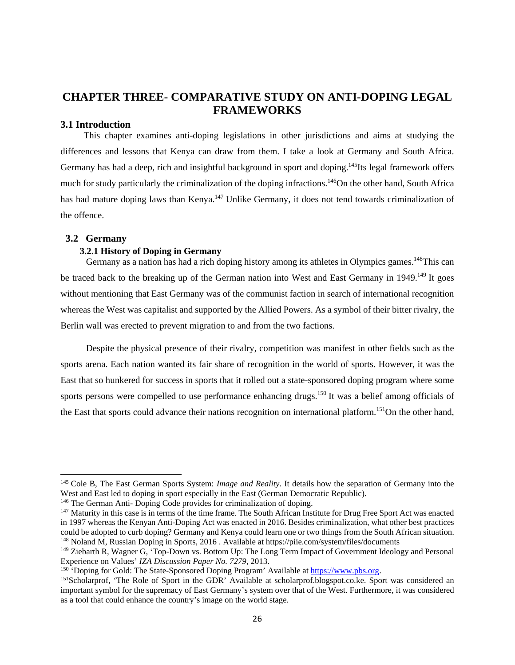# **CHAPTER THREE- COMPARATIVE STUDY ON ANTI-DOPING LEGAL FRAMEWORKS**

## **3.1 Introduction**

 This chapter examines anti-doping legislations in other jurisdictions and aims at studying the differences and lessons that Kenya can draw from them. I take a look at Germany and South Africa. Germany has had a deep, rich and insightful background in sport and doping.<sup>145</sup>Its legal framework offers much for study particularly the criminalization of the doping infractions.<sup>146</sup>On the other hand, South Africa has had mature doping laws than Kenya.<sup>147</sup> Unlike Germany, it does not tend towards criminalization of the offence.

#### **3.2 Germany**

#### **3.2.1 History of Doping in Germany**

Germany as a nation has had a rich doping history among its athletes in Olympics games.<sup>148</sup>This can be traced back to the breaking up of the German nation into West and East Germany in 1949.<sup>149</sup> It goes without mentioning that East Germany was of the communist faction in search of international recognition whereas the West was capitalist and supported by the Allied Powers. As a symbol of their bitter rivalry, the Berlin wall was erected to prevent migration to and from the two factions.

 Despite the physical presence of their rivalry, competition was manifest in other fields such as the sports arena. Each nation wanted its fair share of recognition in the world of sports. However, it was the East that so hunkered for success in sports that it rolled out a state-sponsored doping program where some sports persons were compelled to use performance enhancing drugs.<sup>150</sup> It was a belief among officials of the East that sports could advance their nations recognition on international platform.<sup>151</sup>On the other hand,

<sup>145</sup> Cole B, The East German Sports System: *Image and Reality*. It details how the separation of Germany into the West and East led to doping in sport especially in the East (German Democratic Republic).<br><sup>146</sup> The German Anti- Doping Code provides for criminalization of doping.<br><sup>147</sup> Maturity in this case is in terms of the time frame

in 1997 whereas the Kenyan Anti-Doping Act was enacted in 2016. Besides criminalization, what other best practices could be adopted to curb doping? Germany and Kenya could learn one or two things from the South African situation. 148 Noland M, Russian Doping in Sports, 2016 . Available at https://piie.com/system/files/documents

<sup>149</sup> Ziebarth R, Wagner G, 'Top-Down vs. Bottom Up: The Long Term Impact of Government Ideology and Personal Experience on Values' IZA Discussion Paper No. 7279, 2013.<br><sup>150</sup> 'Doping for Gold: The State-Sponsored Doping Program' Available at https://www.pbs.org.<br><sup>151</sup>Scholarprof, 'The Role of Sport in the GDR' Available at scholar

important symbol for the supremacy of East Germany's system over that of the West. Furthermore, it was considered as a tool that could enhance the country's image on the world stage.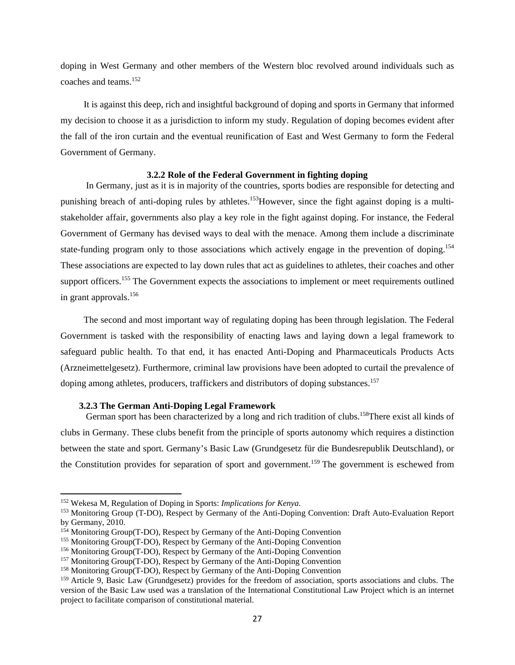doping in West Germany and other members of the Western bloc revolved around individuals such as coaches and teams.<sup>152</sup>

 It is against this deep, rich and insightful background of doping and sports in Germany that informed my decision to choose it as a jurisdiction to inform my study. Regulation of doping becomes evident after the fall of the iron curtain and the eventual reunification of East and West Germany to form the Federal Government of Germany.

#### **3.2.2 Role of the Federal Government in fighting doping**

 In Germany, just as it is in majority of the countries, sports bodies are responsible for detecting and punishing breach of anti-doping rules by athletes.<sup>153</sup>However, since the fight against doping is a multistakeholder affair, governments also play a key role in the fight against doping. For instance, the Federal Government of Germany has devised ways to deal with the menace. Among them include a discriminate state-funding program only to those associations which actively engage in the prevention of doping.<sup>154</sup> These associations are expected to lay down rules that act as guidelines to athletes, their coaches and other support officers.<sup>155</sup> The Government expects the associations to implement or meet requirements outlined in grant approvals.156

 The second and most important way of regulating doping has been through legislation. The Federal Government is tasked with the responsibility of enacting laws and laying down a legal framework to safeguard public health. To that end, it has enacted Anti-Doping and Pharmaceuticals Products Acts (Arzneimettelgesetz). Furthermore, criminal law provisions have been adopted to curtail the prevalence of doping among athletes, producers, traffickers and distributors of doping substances.<sup>157</sup>

#### **3.2.3 The German Anti-Doping Legal Framework**

German sport has been characterized by a long and rich tradition of clubs.<sup>158</sup>There exist all kinds of clubs in Germany. These clubs benefit from the principle of sports autonomy which requires a distinction between the state and sport. Germany's Basic Law (Grundgesetz für die Bundesrepublik Deutschland), or the Constitution provides for separation of sport and government.<sup>159</sup> The government is eschewed from

<sup>152</sup> Wekesa M, Regulation of Doping in Sports: *Implications for Kenya.* 

<sup>&</sup>lt;sup>153</sup> Monitoring Group (T-DO), Respect by Germany of the Anti-Doping Convention: Draft Auto-Evaluation Report by Germany, 2010.<br><sup>154</sup> Monitoring Group(T-DO), Respect by Germany of the Anti-Doping Convention

<sup>&</sup>lt;sup>155</sup> Monitoring Group(T-DO), Respect by Germany of the Anti-Doping Convention<br><sup>156</sup> Monitoring Group(T-DO), Respect by Germany of the Anti-Doping Convention<br><sup>157</sup> Monitoring Group(T-DO), Respect by Germany of the Anti-Do

<sup>159</sup> Article 9, Basic Law (Grundgesetz) provides for the freedom of association, sports associations and clubs. The version of the Basic Law used was a translation of the International Constitutional Law Project which is an internet project to facilitate comparison of constitutional material.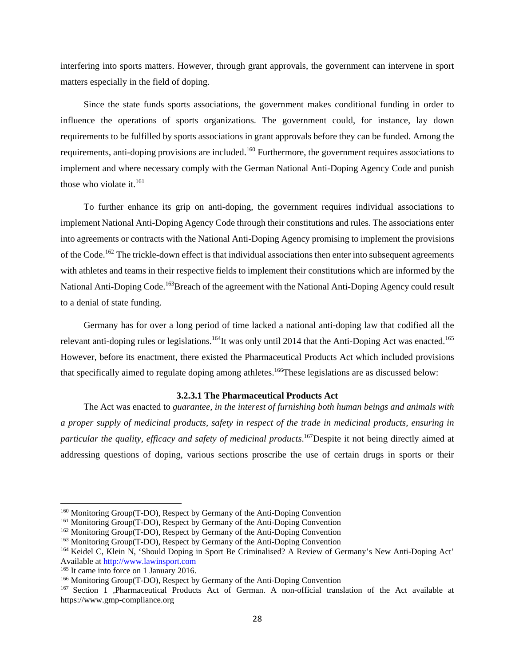interfering into sports matters. However, through grant approvals, the government can intervene in sport matters especially in the field of doping.

 Since the state funds sports associations, the government makes conditional funding in order to influence the operations of sports organizations. The government could, for instance, lay down requirements to be fulfilled by sports associations in grant approvals before they can be funded. Among the requirements, anti-doping provisions are included.<sup>160</sup> Furthermore, the government requires associations to implement and where necessary comply with the German National Anti-Doping Agency Code and punish those who violate it. $^{161}$ 

 To further enhance its grip on anti-doping, the government requires individual associations to implement National Anti-Doping Agency Code through their constitutions and rules. The associations enter into agreements or contracts with the National Anti-Doping Agency promising to implement the provisions of the Code.<sup>162</sup> The trickle-down effect is that individual associations then enter into subsequent agreements with athletes and teams in their respective fields to implement their constitutions which are informed by the National Anti-Doping Code.<sup>163</sup>Breach of the agreement with the National Anti-Doping Agency could result to a denial of state funding.

 Germany has for over a long period of time lacked a national anti-doping law that codified all the relevant anti-doping rules or legislations.<sup>164</sup>It was only until 2014 that the Anti-Doping Act was enacted.<sup>165</sup> However, before its enactment, there existed the Pharmaceutical Products Act which included provisions that specifically aimed to regulate doping among athletes.<sup>166</sup>These legislations are as discussed below:

#### **3.2.3.1 The Pharmaceutical Products Act**

 The Act was enacted to *guarantee, in the interest of furnishing both human beings and animals with a proper supply of medicinal products, safety in respect of the trade in medicinal products, ensuring in particular the quality, efficacy and safety of medicinal products*. 167Despite it not being directly aimed at addressing questions of doping, various sections proscribe the use of certain drugs in sports or their

<sup>&</sup>lt;sup>160</sup> Monitoring Group(T-DO), Respect by Germany of the Anti-Doping Convention<br><sup>161</sup> Monitoring Group(T-DO), Respect by Germany of the Anti-Doping Convention<br><sup>162</sup> Monitoring Group(T-DO), Respect by Germany of the Anti-Do Available at http://www.lawinsport.com<br><sup>165</sup> It came into force on 1 January 2016.

<sup>&</sup>lt;sup>166</sup> Monitoring Group(T-DO), Respect by Germany of the Anti-Doping Convention  $167$  Section 1 ,Pharmaceutical Products Act of German. A non-official translation of the Act available at https://www.gmp-compliance.org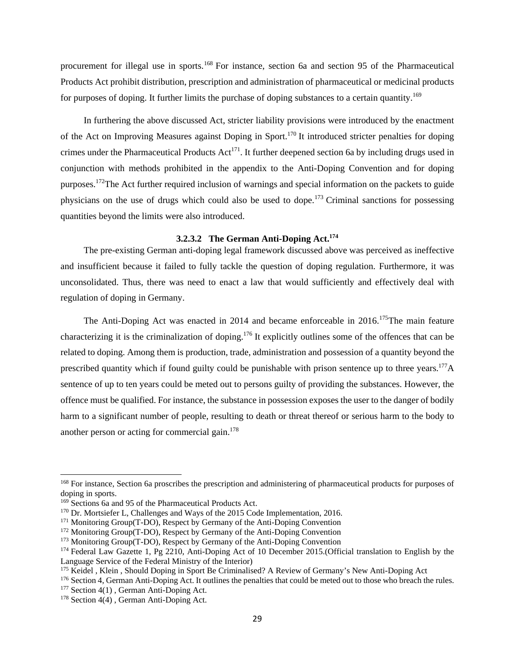procurement for illegal use in sports.<sup>168</sup> For instance, section 6a and section 95 of the Pharmaceutical Products Act prohibit distribution, prescription and administration of pharmaceutical or medicinal products for purposes of doping. It further limits the purchase of doping substances to a certain quantity.<sup>169</sup>

 In furthering the above discussed Act, stricter liability provisions were introduced by the enactment of the Act on Improving Measures against Doping in Sport.170 It introduced stricter penalties for doping crimes under the Pharmaceutical Products  $Act^{171}$ . It further deepened section 6a by including drugs used in conjunction with methods prohibited in the appendix to the Anti-Doping Convention and for doping purposes.172The Act further required inclusion of warnings and special information on the packets to guide physicians on the use of drugs which could also be used to dope.<sup>173</sup> Criminal sanctions for possessing quantities beyond the limits were also introduced.

#### **3.2.3.2 The German Anti-Doping Act.174**

 The pre-existing German anti-doping legal framework discussed above was perceived as ineffective and insufficient because it failed to fully tackle the question of doping regulation. Furthermore, it was unconsolidated. Thus, there was need to enact a law that would sufficiently and effectively deal with regulation of doping in Germany.

The Anti-Doping Act was enacted in 2014 and became enforceable in 2016.<sup>175</sup>The main feature characterizing it is the criminalization of doping.176 It explicitly outlines some of the offences that can be related to doping. Among them is production, trade, administration and possession of a quantity beyond the prescribed quantity which if found guilty could be punishable with prison sentence up to three years.<sup>177</sup>A sentence of up to ten years could be meted out to persons guilty of providing the substances. However, the offence must be qualified. For instance, the substance in possession exposes the user to the danger of bodily harm to a significant number of people, resulting to death or threat thereof or serious harm to the body to another person or acting for commercial gain. $178$ 

<sup>168</sup> For instance, Section 6a proscribes the prescription and administering of pharmaceutical products for purposes of doping in sports.<br><sup>169</sup> Sections 6a and 95 of the Pharmaceutical Products Act.

<sup>&</sup>lt;sup>170</sup> Dr. Mortsiefer L, Challenges and Ways of the 2015 Code Implementation, 2016.<br><sup>171</sup> Monitoring Group(T-DO), Respect by Germany of the Anti-Doping Convention<br><sup>172</sup> Monitoring Group(T-DO), Respect by Germany of the Ant Language Service of the Federal Ministry of the Interior)<br><sup>175</sup> Keidel, Klein, Should Doping in Sport Be Criminalised? A Review of Germany's New Anti-Doping Act

<sup>&</sup>lt;sup>176</sup> Section 4, German Anti-Doping Act. It outlines the penalties that could be meted out to those who breach the rules.<br><sup>177</sup> Section 4(1), German Anti-Doping Act.<br><sup>178</sup> Section 4(4), German Anti-Doping Act.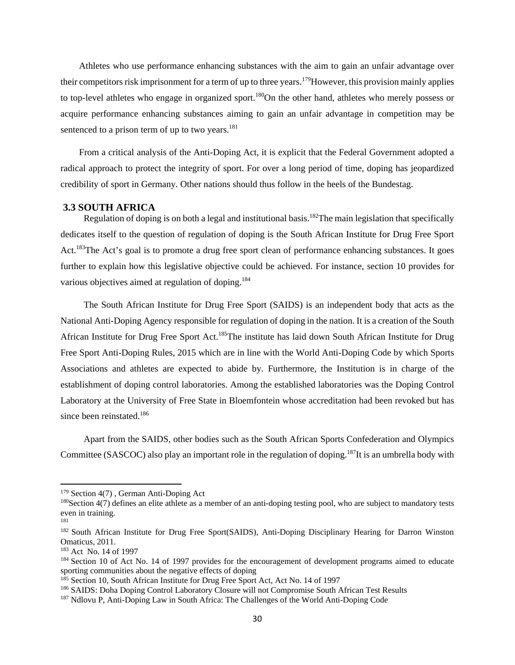Athletes who use performance enhancing substances with the aim to gain an unfair advantage over their competitors risk imprisonment for a term of up to three years.<sup>179</sup>However, this provision mainly applies to top-level athletes who engage in organized sport.<sup>180</sup>On the other hand, athletes who merely possess or acquire performance enhancing substances aiming to gain an unfair advantage in competition may be sentenced to a prison term of up to two years. $181$ 

 From a critical analysis of the Anti-Doping Act, it is explicit that the Federal Government adopted a radical approach to protect the integrity of sport. For over a long period of time, doping has jeopardized credibility of sport in Germany. Other nations should thus follow in the heels of the Bundestag.

## **3.3 SOUTH AFRICA**

Regulation of doping is on both a legal and institutional basis.<sup>182</sup>The main legislation that specifically dedicates itself to the question of regulation of doping is the South African Institute for Drug Free Sport Act.183The Act's goal is to promote a drug free sport clean of performance enhancing substances. It goes further to explain how this legislative objective could be achieved. For instance, section 10 provides for various objectives aimed at regulation of doping.<sup>184</sup>

 The South African Institute for Drug Free Sport (SAIDS) is an independent body that acts as the National Anti-Doping Agency responsible for regulation of doping in the nation. It is a creation of the South African Institute for Drug Free Sport Act.<sup>185</sup>The institute has laid down South African Institute for Drug Free Sport Anti-Doping Rules, 2015 which are in line with the World Anti-Doping Code by which Sports Associations and athletes are expected to abide by. Furthermore, the Institution is in charge of the establishment of doping control laboratories. Among the established laboratories was the Doping Control Laboratory at the University of Free State in Bloemfontein whose accreditation had been revoked but has since been reinstated.<sup>186</sup>

 Apart from the SAIDS, other bodies such as the South African Sports Confederation and Olympics Committee (SASCOC) also play an important role in the regulation of doping.<sup>187</sup>It is an umbrella body with

<sup>&</sup>lt;sup>179</sup> Section 4(7), German Anti-Doping Act<br><sup>180</sup>Section 4(7) defines an elite athlete as a member of an anti-doping testing pool, who are subject to mandatory tests even in training.

<sup>&</sup>lt;sup>182</sup> South African Institute for Drug Free Sport(SAIDS), Anti-Doping Disciplinary Hearing for Darron Winston Omaticus, 2011.<br><sup>183</sup> Act No. 14 of 1997

<sup>&</sup>lt;sup>184</sup> Section 10 of Act No. 14 of 1997 provides for the encouragement of development programs aimed to educate sporting communities about the negative effects of doping<br><sup>185</sup> Section 10, South African Institute for Drug Free Sport Act, Act No. 14 of 1997

<sup>&</sup>lt;sup>186</sup> SAIDS: Doha Doping Control Laboratory Closure will not Compromise South African Test Results<br><sup>187</sup> Ndlovu P, Anti-Doping Law in South Africa: The Challenges of the World Anti-Doping Code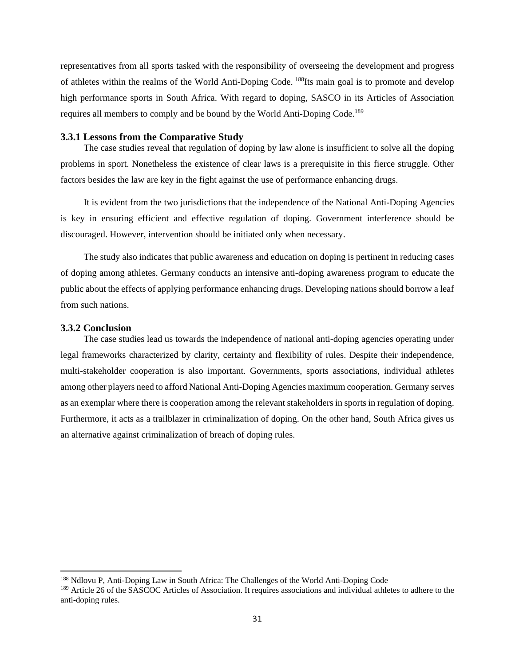representatives from all sports tasked with the responsibility of overseeing the development and progress of athletes within the realms of the World Anti-Doping Code. 188Its main goal is to promote and develop high performance sports in South Africa. With regard to doping, SASCO in its Articles of Association requires all members to comply and be bound by the World Anti-Doping Code.<sup>189</sup>

#### **3.3.1 Lessons from the Comparative Study**

The case studies reveal that regulation of doping by law alone is insufficient to solve all the doping problems in sport. Nonetheless the existence of clear laws is a prerequisite in this fierce struggle. Other factors besides the law are key in the fight against the use of performance enhancing drugs.

 It is evident from the two jurisdictions that the independence of the National Anti-Doping Agencies is key in ensuring efficient and effective regulation of doping. Government interference should be discouraged. However, intervention should be initiated only when necessary.

 The study also indicates that public awareness and education on doping is pertinent in reducing cases of doping among athletes. Germany conducts an intensive anti-doping awareness program to educate the public about the effects of applying performance enhancing drugs. Developing nations should borrow a leaf from such nations.

#### **3.3.2 Conclusion**

The case studies lead us towards the independence of national anti-doping agencies operating under legal frameworks characterized by clarity, certainty and flexibility of rules. Despite their independence, multi-stakeholder cooperation is also important. Governments, sports associations, individual athletes among other players need to afford National Anti-Doping Agencies maximum cooperation. Germany serves as an exemplar where there is cooperation among the relevant stakeholders in sports in regulation of doping. Furthermore, it acts as a trailblazer in criminalization of doping. On the other hand, South Africa gives us an alternative against criminalization of breach of doping rules.

<sup>188</sup> Ndlovu P, Anti-Doping Law in South Africa: The Challenges of the World Anti-Doping Code

<sup>&</sup>lt;sup>189</sup> Article 26 of the SASCOC Articles of Association. It requires associations and individual athletes to adhere to the anti-doping rules.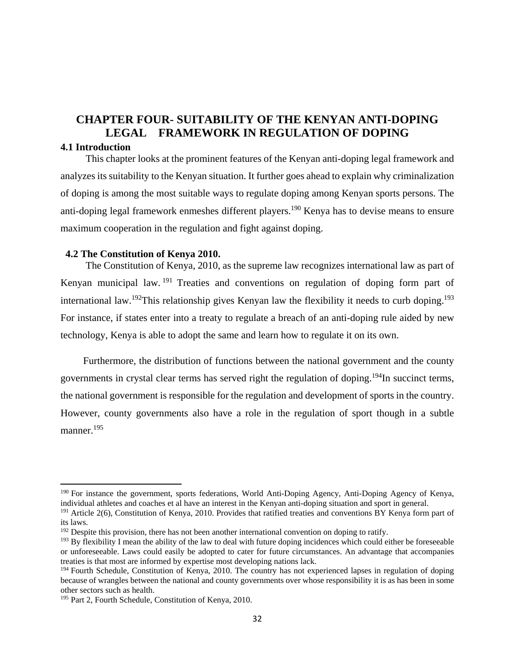# **CHAPTER FOUR- SUITABILITY OF THE KENYAN ANTI-DOPING LEGAL FRAMEWORK IN REGULATION OF DOPING**

## **4.1 Introduction**

 This chapter looks at the prominent features of the Kenyan anti-doping legal framework and analyzes its suitability to the Kenyan situation. It further goes ahead to explain why criminalization of doping is among the most suitable ways to regulate doping among Kenyan sports persons. The anti-doping legal framework enmeshes different players.<sup>190</sup> Kenya has to devise means to ensure maximum cooperation in the regulation and fight against doping.

## **4.2 The Constitution of Kenya 2010.**

The Constitution of Kenya, 2010, as the supreme law recognizes international law as part of Kenyan municipal law. 191 Treaties and conventions on regulation of doping form part of international law.<sup>192</sup>This relationship gives Kenyan law the flexibility it needs to curb doping.<sup>193</sup> For instance, if states enter into a treaty to regulate a breach of an anti-doping rule aided by new technology, Kenya is able to adopt the same and learn how to regulate it on its own.

 Furthermore, the distribution of functions between the national government and the county governments in crystal clear terms has served right the regulation of doping.<sup>194</sup>In succinct terms, the national government is responsible for the regulation and development of sports in the country. However, county governments also have a role in the regulation of sport though in a subtle manner.<sup>195</sup>

<sup>190</sup> For instance the government, sports federations, World Anti-Doping Agency, Anti-Doping Agency of Kenya, individual athletes and coaches et al have an interest in the Kenyan anti-doping situation and sport in general.

<sup>&</sup>lt;sup>191</sup> Article 2(6), Constitution of Kenya, 2010. Provides that ratified treaties and conventions BY Kenya form part of its laws.

 $192$  Despite this provision, there has not been another international convention on doping to ratify.

 $193$  By flexibility I mean the ability of the law to deal with future doping incidences which could either be foreseeable or unforeseeable. Laws could easily be adopted to cater for future circumstances. An advantage that accompanies treaties is that most are informed by expertise most developing nations lack.

<sup>&</sup>lt;sup>194</sup> Fourth Schedule, Constitution of Kenya, 2010. The country has not experienced lapses in regulation of doping because of wrangles between the national and county governments over whose responsibility it is as has been in some other sectors such as health.

<sup>195</sup> Part 2, Fourth Schedule, Constitution of Kenya, 2010.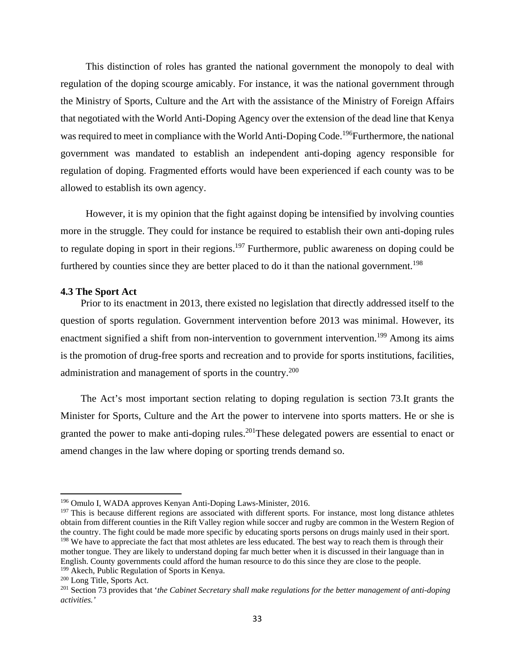This distinction of roles has granted the national government the monopoly to deal with regulation of the doping scourge amicably. For instance, it was the national government through the Ministry of Sports, Culture and the Art with the assistance of the Ministry of Foreign Affairs that negotiated with the World Anti-Doping Agency over the extension of the dead line that Kenya was required to meet in compliance with the World Anti-Doping Code.<sup>196</sup>Furthermore, the national government was mandated to establish an independent anti-doping agency responsible for regulation of doping. Fragmented efforts would have been experienced if each county was to be allowed to establish its own agency.

 However, it is my opinion that the fight against doping be intensified by involving counties more in the struggle. They could for instance be required to establish their own anti-doping rules to regulate doping in sport in their regions.<sup>197</sup> Furthermore, public awareness on doping could be furthered by counties since they are better placed to do it than the national government.<sup>198</sup>

#### **4.3 The Sport Act**

Prior to its enactment in 2013, there existed no legislation that directly addressed itself to the question of sports regulation. Government intervention before 2013 was minimal. However, its enactment signified a shift from non-intervention to government intervention.<sup>199</sup> Among its aims is the promotion of drug-free sports and recreation and to provide for sports institutions, facilities, administration and management of sports in the country.200

 The Act's most important section relating to doping regulation is section 73.It grants the Minister for Sports, Culture and the Art the power to intervene into sports matters. He or she is granted the power to make anti-doping rules.<sup>201</sup>These delegated powers are essential to enact or amend changes in the law where doping or sporting trends demand so.

<sup>196</sup> Omulo I, WADA approves Kenyan Anti-Doping Laws-Minister, 2016.

<sup>&</sup>lt;sup>197</sup> This is because different regions are associated with different sports. For instance, most long distance athletes obtain from different counties in the Rift Valley region while soccer and rugby are common in the Western Region of the country. The fight could be made more specific by educating sports persons on drugs mainly used in their sport. <sup>198</sup> We have to appreciate the fact that most athletes are less educated. The best way to reach them is through their mother tongue. They are likely to understand doping far much better when it is discussed in their language than in English. County governments could afford the human resource to do this since they are close to the people. <sup>199</sup> Akech, Public Regulation of Sports in Kenya.

<sup>&</sup>lt;sup>200</sup> Long Title, Sports Act.<br><sup>201</sup> Section 73 provides that *'the Cabinet Secretary shall make regulations for the better management of anti-doping activities.'*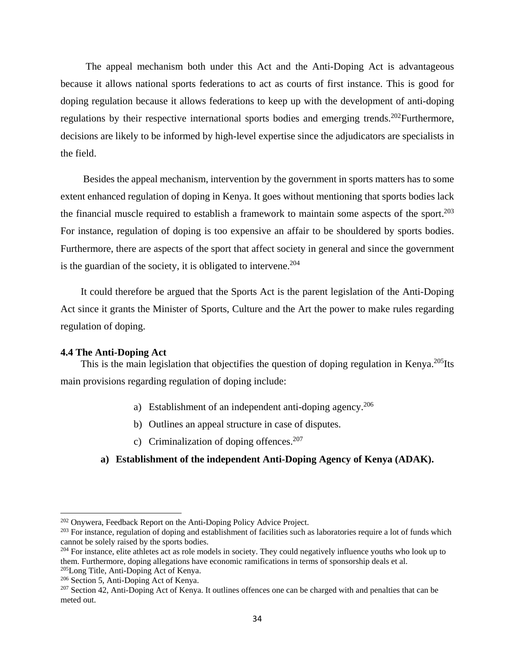The appeal mechanism both under this Act and the Anti-Doping Act is advantageous because it allows national sports federations to act as courts of first instance. This is good for doping regulation because it allows federations to keep up with the development of anti-doping regulations by their respective international sports bodies and emerging trends.<sup>202</sup>Furthermore, decisions are likely to be informed by high-level expertise since the adjudicators are specialists in the field.

 Besides the appeal mechanism, intervention by the government in sports matters has to some extent enhanced regulation of doping in Kenya. It goes without mentioning that sports bodies lack the financial muscle required to establish a framework to maintain some aspects of the sport. $^{203}$ For instance, regulation of doping is too expensive an affair to be shouldered by sports bodies. Furthermore, there are aspects of the sport that affect society in general and since the government is the guardian of the society, it is obligated to intervene.<sup>204</sup>

 It could therefore be argued that the Sports Act is the parent legislation of the Anti-Doping Act since it grants the Minister of Sports, Culture and the Art the power to make rules regarding regulation of doping.

#### **4.4 The Anti-Doping Act**

This is the main legislation that objectifies the question of doping regulation in Kenya.<sup>205</sup>Its main provisions regarding regulation of doping include:

- a) Establishment of an independent anti-doping agency.206
- b) Outlines an appeal structure in case of disputes.
- c) Criminalization of doping offences.<sup>207</sup>

## **a) Establishment of the independent Anti-Doping Agency of Kenya (ADAK).**

<sup>&</sup>lt;sup>202</sup> Onywera, Feedback Report on the Anti-Doping Policy Advice Project.<br><sup>203</sup> For instance, regulation of doping and establishment of facilities such as laboratories require a lot of funds which cannot be solely raised by the sports bodies.

<sup>&</sup>lt;sup>204</sup> For instance, elite athletes act as role models in society. They could negatively influence youths who look up to them. Furthermore, doping allegations have economic ramifications in terms of sponsorship deals et al.

<sup>&</sup>lt;sup>205</sup>Long Title, Anti-Doping Act of Kenya.<br><sup>206</sup> Section 5, Anti-Doping Act of Kenya.<br><sup>207</sup> Section 42, Anti-Doping Act of Kenya. It outlines offences one can be charged with and penalties that can be meted out.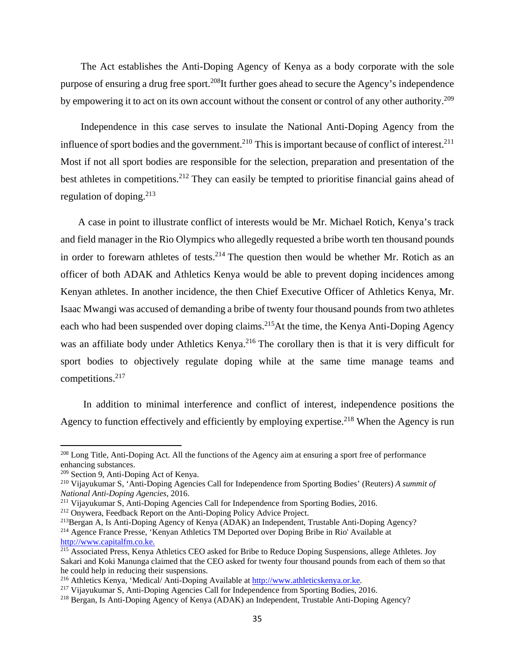The Act establishes the Anti-Doping Agency of Kenya as a body corporate with the sole purpose of ensuring a drug free sport.208It further goes ahead to secure the Agency's independence by empowering it to act on its own account without the consent or control of any other authority.<sup>209</sup>

 Independence in this case serves to insulate the National Anti-Doping Agency from the influence of sport bodies and the government.<sup>210</sup> This is important because of conflict of interest.<sup>211</sup> Most if not all sport bodies are responsible for the selection, preparation and presentation of the best athletes in competitions.<sup>212</sup> They can easily be tempted to prioritise financial gains ahead of regulation of doping. $213$ 

 A case in point to illustrate conflict of interests would be Mr. Michael Rotich, Kenya's track and field manager in the Rio Olympics who allegedly requested a bribe worth ten thousand pounds in order to forewarn athletes of tests.<sup>214</sup> The question then would be whether Mr. Rotich as an officer of both ADAK and Athletics Kenya would be able to prevent doping incidences among Kenyan athletes. In another incidence, the then Chief Executive Officer of Athletics Kenya, Mr. Isaac Mwangi was accused of demanding a bribe of twenty four thousand pounds from two athletes each who had been suspended over doping claims.<sup>215</sup>At the time, the Kenya Anti-Doping Agency was an affiliate body under Athletics Kenya.<sup>216</sup> The corollary then is that it is very difficult for sport bodies to objectively regulate doping while at the same time manage teams and competitions.217

 In addition to minimal interference and conflict of interest, independence positions the Agency to function effectively and efficiently by employing expertise.<sup>218</sup> When the Agency is run

<sup>&</sup>lt;sup>208</sup> Long Title, Anti-Doping Act. All the functions of the Agency aim at ensuring a sport free of performance enhancing substances.

<sup>&</sup>lt;sup>209</sup> Section 9, Anti-Doping Act of Kenya.<br><sup>210</sup> Vijayukumar S, 'Anti-Doping Agencies Call for Independence from Sporting Bodies' (Reuters) *A summit of National Anti-Doping Agencies*, 2016.<br><sup>211</sup> Vijayukumar S, Anti-Doping Agencies Call for Independence from Sporting Bodies, 2016.<br><sup>212</sup> Onywera, Feedback Report on the Anti-Doping Policy Advice Project.<br><sup>213</sup>Bergan A, Is

http://www.capitalfm.co.ke.

<sup>&</sup>lt;sup>215</sup> Associated Press, Kenya Athletics CEO asked for Bribe to Reduce Doping Suspensions, allege Athletes. Joy Sakari and Koki Manunga claimed that the CEO asked for twenty four thousand pounds from each of them so that he could help in reducing their suspensions.<br><sup>216</sup> Athletics Kenya, 'Medical/ Anti-Doping Available at http://www.athleticskenya.or.ke.

<sup>&</sup>lt;sup>217</sup> Vijayukumar S, Anti-Doping Agencies Call for Independence from Sporting Bodies, 2016.<br><sup>218</sup> Bergan, Is Anti-Doping Agency of Kenya (ADAK) an Independent, Trustable Anti-Doping Agency?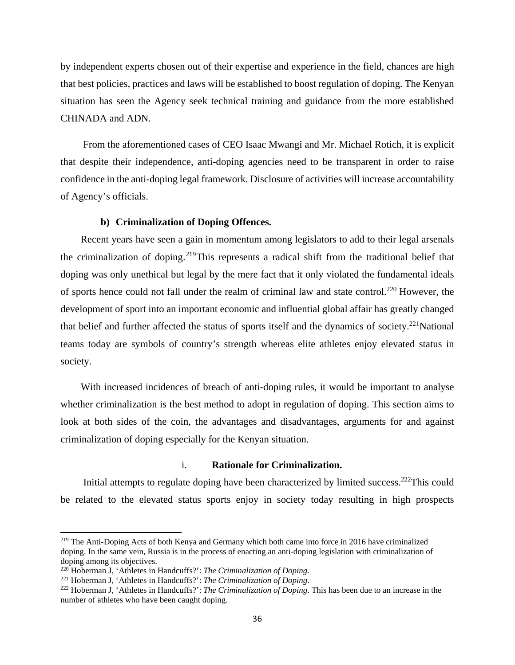by independent experts chosen out of their expertise and experience in the field, chances are high that best policies, practices and laws will be established to boost regulation of doping. The Kenyan situation has seen the Agency seek technical training and guidance from the more established CHINADA and ADN.

 From the aforementioned cases of CEO Isaac Mwangi and Mr. Michael Rotich, it is explicit that despite their independence, anti-doping agencies need to be transparent in order to raise confidence in the anti-doping legal framework. Disclosure of activities will increase accountability of Agency's officials.

#### **b) Criminalization of Doping Offences.**

Recent years have seen a gain in momentum among legislators to add to their legal arsenals the criminalization of doping.219This represents a radical shift from the traditional belief that doping was only unethical but legal by the mere fact that it only violated the fundamental ideals of sports hence could not fall under the realm of criminal law and state control.220 However, the development of sport into an important economic and influential global affair has greatly changed that belief and further affected the status of sports itself and the dynamics of society.<sup>221</sup>National teams today are symbols of country's strength whereas elite athletes enjoy elevated status in society.

 With increased incidences of breach of anti-doping rules, it would be important to analyse whether criminalization is the best method to adopt in regulation of doping. This section aims to look at both sides of the coin, the advantages and disadvantages, arguments for and against criminalization of doping especially for the Kenyan situation.

## i. **Rationale for Criminalization.**

Initial attempts to regulate doping have been characterized by limited success.<sup>222</sup>This could be related to the elevated status sports enjoy in society today resulting in high prospects

<sup>219</sup> The Anti-Doping Acts of both Kenya and Germany which both came into force in 2016 have criminalized doping. In the same vein, Russia is in the process of enacting an anti-doping legislation with criminalization of doping among its objectives.<br><sup>220</sup> Hoberman J, 'Athletes in Handcuffs?': The Criminalization of Doping.

<sup>&</sup>lt;sup>221</sup> Hoberman J, 'Athletes in Handcuffs?': *The Criminalization of Doping*.<br><sup>222</sup> Hoberman J, 'Athletes in Handcuffs?': *The Criminalization of Doping*. This has been due to an increase in the number of athletes who have been caught doping.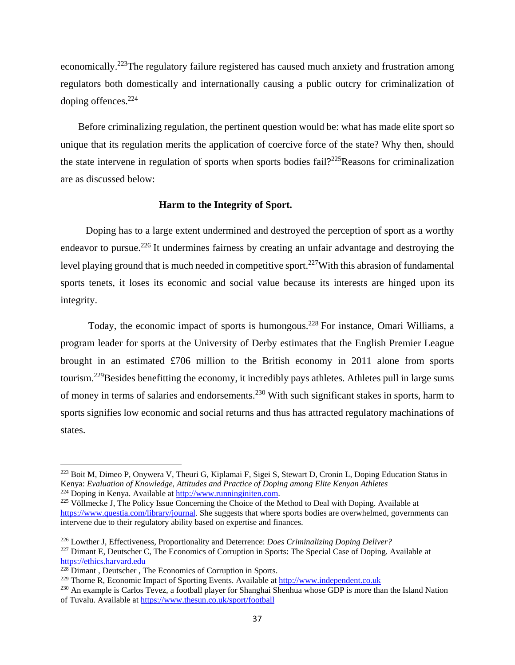economically.<sup>223</sup>The regulatory failure registered has caused much anxiety and frustration among regulators both domestically and internationally causing a public outcry for criminalization of doping offences. $224$ 

 Before criminalizing regulation, the pertinent question would be: what has made elite sport so unique that its regulation merits the application of coercive force of the state? Why then, should the state intervene in regulation of sports when sports bodies fail?225Reasons for criminalization are as discussed below:

## **Harm to the Integrity of Sport.**

Doping has to a large extent undermined and destroyed the perception of sport as a worthy endeavor to pursue.<sup>226</sup> It undermines fairness by creating an unfair advantage and destroying the level playing ground that is much needed in competitive sport.<sup>227</sup>With this abrasion of fundamental sports tenets, it loses its economic and social value because its interests are hinged upon its integrity.

Today, the economic impact of sports is humongous.<sup>228</sup> For instance, Omari Williams, a program leader for sports at the University of Derby estimates that the English Premier League brought in an estimated £706 million to the British economy in 2011 alone from sports tourism.229Besides benefitting the economy, it incredibly pays athletes. Athletes pull in large sums of money in terms of salaries and endorsements.230 With such significant stakes in sports, harm to sports signifies low economic and social returns and thus has attracted regulatory machinations of states.

<sup>&</sup>lt;sup>223</sup> Boit M, Dimeo P, Onywera V, Theuri G, Kiplamai F, Sigei S, Stewart D, Cronin L, Doping Education Status in Kenya: *Evaluation of Knowledge, Attitudes and Practice of Doping among Elite Kenyan Athletes*

 $225$  Völlmecke J, The Policy Issue Concerning the Choice of the Method to Deal with Doping. Available at https://www.questia.com/library/journal. She suggests that where sports bodies are overwhelmed, governments can intervene due to their regulatory ability based on expertise and finances.

<sup>226</sup> Lowther J, Effectiveness, Proportionality and Deterrence: *Does Criminalizing Doping Deliver?* 

<sup>&</sup>lt;sup>227</sup> Dimant E, Deutscher C, The Economics of Corruption in Sports: The Special Case of Doping. Available at https://ethics.harvard.edu

 $228$  Dimant, Deutscher, The Economics of Corruption in Sports.

<sup>229</sup> Thorne R, Economic Impact of Sporting Events. Available at http://www.independent.co.uk

<sup>&</sup>lt;sup>230</sup> An example is Carlos Tevez, a football player for Shanghai Shenhua whose GDP is more than the Island Nation of Tuvalu. Available at https://www.thesun.co.uk/sport/football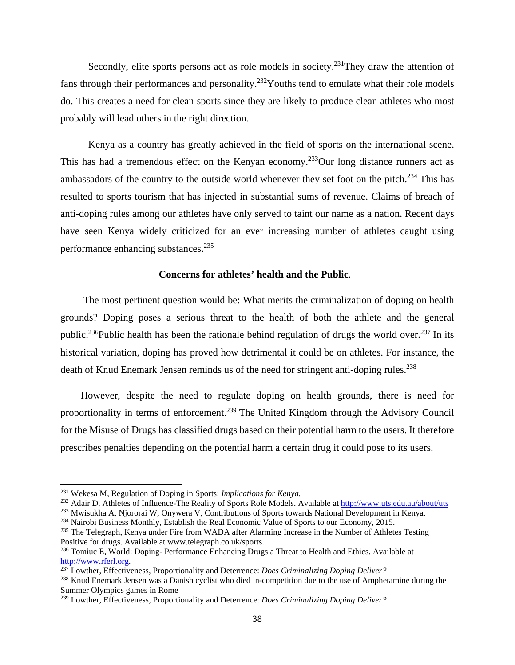Secondly, elite sports persons act as role models in society.<sup>231</sup>They draw the attention of fans through their performances and personality.<sup>232</sup>Youths tend to emulate what their role models do. This creates a need for clean sports since they are likely to produce clean athletes who most probably will lead others in the right direction.

 Kenya as a country has greatly achieved in the field of sports on the international scene. This has had a tremendous effect on the Kenyan economy.<sup>233</sup>Our long distance runners act as ambassadors of the country to the outside world whenever they set foot on the pitch.<sup>234</sup> This has resulted to sports tourism that has injected in substantial sums of revenue. Claims of breach of anti-doping rules among our athletes have only served to taint our name as a nation. Recent days have seen Kenya widely criticized for an ever increasing number of athletes caught using performance enhancing substances.<sup>235</sup>

## **Concerns for athletes' health and the Public**.

 The most pertinent question would be: What merits the criminalization of doping on health grounds? Doping poses a serious threat to the health of both the athlete and the general public.<sup>236</sup>Public health has been the rationale behind regulation of drugs the world over.<sup>237</sup> In its historical variation, doping has proved how detrimental it could be on athletes. For instance, the death of Knud Enemark Jensen reminds us of the need for stringent anti-doping rules.<sup>238</sup>

 However, despite the need to regulate doping on health grounds, there is need for proportionality in terms of enforcement.239 The United Kingdom through the Advisory Council for the Misuse of Drugs has classified drugs based on their potential harm to the users. It therefore prescribes penalties depending on the potential harm a certain drug it could pose to its users.

<sup>234</sup> Nairobi Business Monthly, Establish the Real Economic Value of Sports to our Economy, 2015.<br><sup>235</sup> The Telegraph, Kenya under Fire from WADA after Alarming Increase in the Number of Athletes Testing

<sup>231</sup> Wekesa M, Regulation of Doping in Sports: *Implications for Kenya.*

<sup>&</sup>lt;sup>232</sup> Adair D, Athletes of Influence-The Reality of Sports Role Models. Available at  $\frac{http://www.uts.edu.au/about/uts}{http://www.uts.edu.au/about/uts}$ <sup>233</sup> Mwisukha A, Njororai W, Onywera V, Contributions of Sports towards National Development in Kenya.

Positive for drugs. Available at www.telegraph.co.uk/sports.

<sup>&</sup>lt;sup>236</sup> Tomiuc E, World: Doping-Performance Enhancing Drugs a Threat to Health and Ethics. Available at http://www.rferl.org. 237 Lowther, Effectiveness, Proportionality and Deterrence: *Does Criminalizing Doping Deliver?*

<sup>&</sup>lt;sup>238</sup> Knud Enemark Jensen was a Danish cyclist who died in-competition due to the use of Amphetamine during the Summer Olympics games in Rome

<sup>239</sup> Lowther, Effectiveness, Proportionality and Deterrence: *Does Criminalizing Doping Deliver?*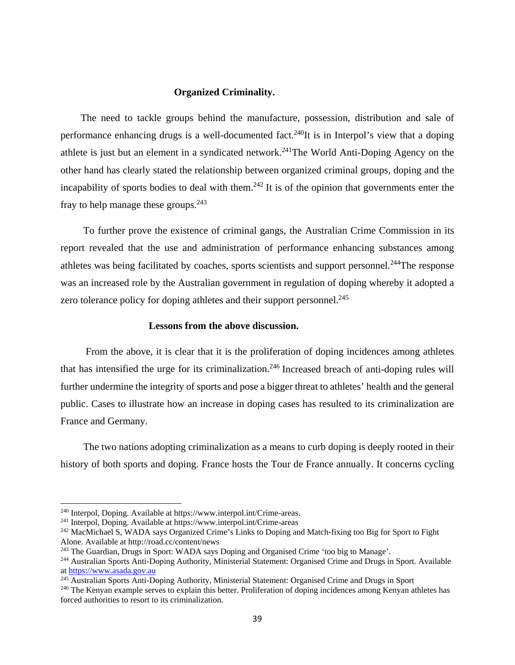## **Organized Criminality.**

The need to tackle groups behind the manufacture, possession, distribution and sale of performance enhancing drugs is a well-documented fact.<sup>240</sup>It is in Interpol's view that a doping athlete is just but an element in a syndicated network.<sup>241</sup>The World Anti-Doping Agency on the other hand has clearly stated the relationship between organized criminal groups, doping and the incapability of sports bodies to deal with them.<sup>242</sup> It is of the opinion that governments enter the fray to help manage these groups. $243$ 

 To further prove the existence of criminal gangs, the Australian Crime Commission in its report revealed that the use and administration of performance enhancing substances among athletes was being facilitated by coaches, sports scientists and support personnel.<sup>244</sup>The response was an increased role by the Australian government in regulation of doping whereby it adopted a zero tolerance policy for doping athletes and their support personnel.<sup>245</sup>

#### **Lessons from the above discussion.**

From the above, it is clear that it is the proliferation of doping incidences among athletes that has intensified the urge for its criminalization.<sup>246</sup> Increased breach of anti-doping rules will further undermine the integrity of sports and pose a bigger threat to athletes' health and the general public. Cases to illustrate how an increase in doping cases has resulted to its criminalization are France and Germany.

 The two nations adopting criminalization as a means to curb doping is deeply rooted in their history of both sports and doping. France hosts the Tour de France annually. It concerns cycling

<sup>&</sup>lt;sup>240</sup> Interpol, Doping. Available at https://www.interpol.int/Crime-areas.<br><sup>241</sup> Interpol, Doping. Available at https://www.interpol.int/Crime-areas<br><sup>242</sup> MacMichael S, WADA says Organized Crime's Links to Doping and Match

<sup>&</sup>lt;sup>243</sup> The Guardian, Drugs in Sport: WADA says Doping and Organised Crime 'too big to Manage'.<br><sup>244</sup> Australian Sports Anti-Doping Authority, Ministerial Statement: Organised Crime and Drugs in Sport. Available at https://www.asada.gov.au

<sup>&</sup>lt;sup>245</sup> Australian Sports Anti-Doping Authority, Ministerial Statement: Organised Crime and Drugs in Sport  $^{246}$  The Kenyan example serves to explain this better. Proliferation of doping incidences among Kenyan athletes h

forced authorities to resort to its criminalization.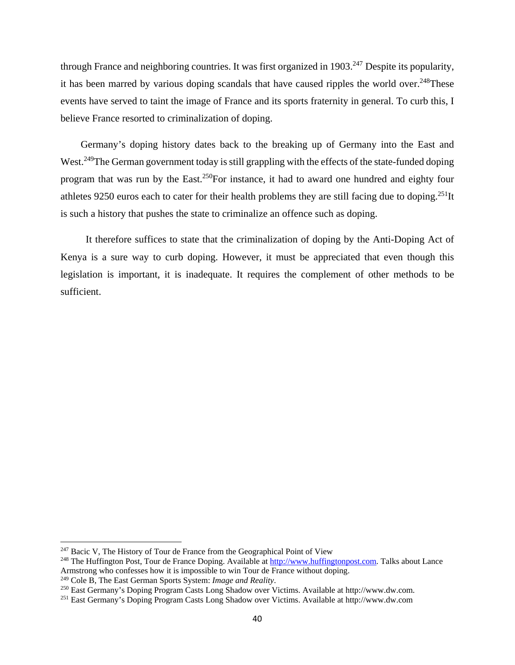through France and neighboring countries. It was first organized in 1903.<sup>247</sup> Despite its popularity, it has been marred by various doping scandals that have caused ripples the world over.<sup>248</sup>These events have served to taint the image of France and its sports fraternity in general. To curb this, I believe France resorted to criminalization of doping.

 Germany's doping history dates back to the breaking up of Germany into the East and West.<sup>249</sup>The German government today is still grappling with the effects of the state-funded doping program that was run by the East.250For instance, it had to award one hundred and eighty four athletes 9250 euros each to cater for their health problems they are still facing due to doping.<sup>251</sup>It is such a history that pushes the state to criminalize an offence such as doping.

 It therefore suffices to state that the criminalization of doping by the Anti-Doping Act of Kenya is a sure way to curb doping. However, it must be appreciated that even though this legislation is important, it is inadequate. It requires the complement of other methods to be sufficient.

<sup>&</sup>lt;sup>247</sup> Bacic V, The History of Tour de France from the Geographical Point of View

<sup>&</sup>lt;sup>248</sup> The Huffington Post, Tour de France Doping. Available at http://www.huffingtonpost.com. Talks about Lance Armstrong who confesses how it is impossible to win Tour de France without doping.<br><sup>249</sup> Cole B, The East German Sports System: *Image and Reality*.

<sup>&</sup>lt;sup>250</sup> East Germany's Doping Program Casts Long Shadow over Victims. Available at http://www.dw.com.<br><sup>251</sup> East Germany's Doping Program Casts Long Shadow over Victims. Available at http://www.dw.com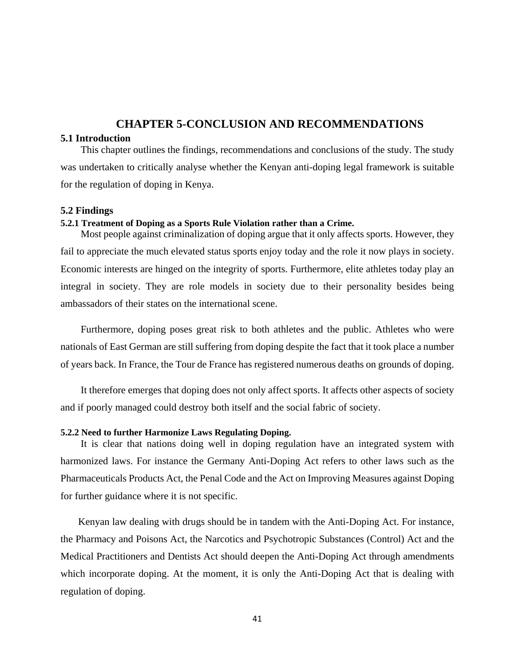## **CHAPTER 5-CONCLUSION AND RECOMMENDATIONS**

## **5.1 Introduction**

 This chapter outlines the findings, recommendations and conclusions of the study. The study was undertaken to critically analyse whether the Kenyan anti-doping legal framework is suitable for the regulation of doping in Kenya.

#### **5.2 Findings**

#### **5.2.1 Treatment of Doping as a Sports Rule Violation rather than a Crime.**

Most people against criminalization of doping argue that it only affects sports. However, they fail to appreciate the much elevated status sports enjoy today and the role it now plays in society. Economic interests are hinged on the integrity of sports. Furthermore, elite athletes today play an integral in society. They are role models in society due to their personality besides being ambassadors of their states on the international scene.

 Furthermore, doping poses great risk to both athletes and the public. Athletes who were nationals of East German are still suffering from doping despite the fact that it took place a number of years back. In France, the Tour de France has registered numerous deaths on grounds of doping.

 It therefore emerges that doping does not only affect sports. It affects other aspects of society and if poorly managed could destroy both itself and the social fabric of society.

#### **5.2.2 Need to further Harmonize Laws Regulating Doping.**

 It is clear that nations doing well in doping regulation have an integrated system with harmonized laws. For instance the Germany Anti-Doping Act refers to other laws such as the Pharmaceuticals Products Act, the Penal Code and the Act on Improving Measures against Doping for further guidance where it is not specific.

 Kenyan law dealing with drugs should be in tandem with the Anti-Doping Act. For instance, the Pharmacy and Poisons Act, the Narcotics and Psychotropic Substances (Control) Act and the Medical Practitioners and Dentists Act should deepen the Anti-Doping Act through amendments which incorporate doping. At the moment, it is only the Anti-Doping Act that is dealing with regulation of doping.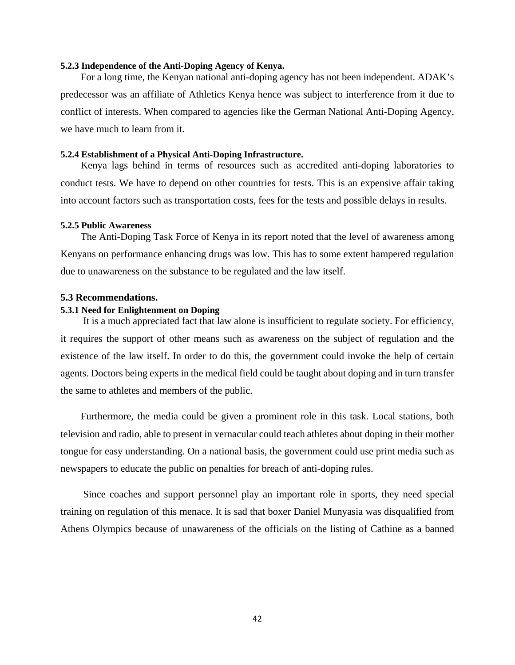#### **5.2.3 Independence of the Anti-Doping Agency of Kenya.**

 For a long time, the Kenyan national anti-doping agency has not been independent. ADAK's predecessor was an affiliate of Athletics Kenya hence was subject to interference from it due to conflict of interests. When compared to agencies like the German National Anti-Doping Agency, we have much to learn from it.

#### **5.2.4 Establishment of a Physical Anti-Doping Infrastructure.**

Kenya lags behind in terms of resources such as accredited anti-doping laboratories to conduct tests. We have to depend on other countries for tests. This is an expensive affair taking into account factors such as transportation costs, fees for the tests and possible delays in results.

#### **5.2.5 Public Awareness**

 The Anti-Doping Task Force of Kenya in its report noted that the level of awareness among Kenyans on performance enhancing drugs was low. This has to some extent hampered regulation due to unawareness on the substance to be regulated and the law itself.

#### **5.3 Recommendations.**

#### **5.3.1 Need for Enlightenment on Doping**

 It is a much appreciated fact that law alone is insufficient to regulate society. For efficiency, it requires the support of other means such as awareness on the subject of regulation and the existence of the law itself. In order to do this, the government could invoke the help of certain agents. Doctors being experts in the medical field could be taught about doping and in turn transfer the same to athletes and members of the public.

 Furthermore, the media could be given a prominent role in this task. Local stations, both television and radio, able to present in vernacular could teach athletes about doping in their mother tongue for easy understanding. On a national basis, the government could use print media such as newspapers to educate the public on penalties for breach of anti-doping rules.

 Since coaches and support personnel play an important role in sports, they need special training on regulation of this menace. It is sad that boxer Daniel Munyasia was disqualified from Athens Olympics because of unawareness of the officials on the listing of Cathine as a banned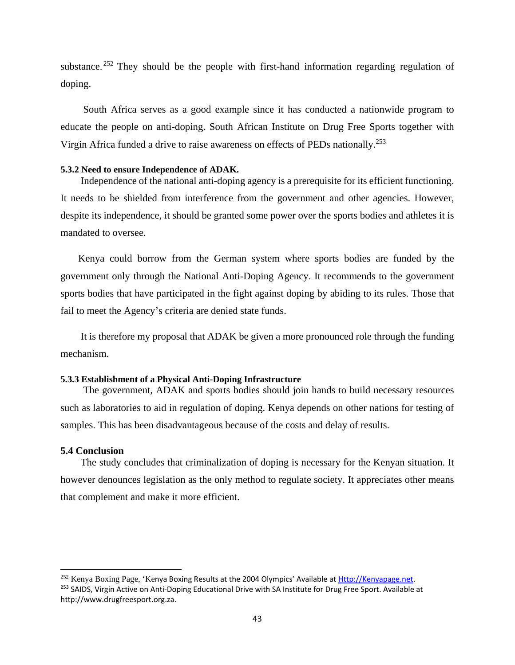substance.  $252$  They should be the people with first-hand information regarding regulation of doping.

 South Africa serves as a good example since it has conducted a nationwide program to educate the people on anti-doping. South African Institute on Drug Free Sports together with Virgin Africa funded a drive to raise awareness on effects of PEDs nationally.253

#### **5.3.2 Need to ensure Independence of ADAK.**

 Independence of the national anti-doping agency is a prerequisite for its efficient functioning. It needs to be shielded from interference from the government and other agencies. However, despite its independence, it should be granted some power over the sports bodies and athletes it is mandated to oversee.

 Kenya could borrow from the German system where sports bodies are funded by the government only through the National Anti-Doping Agency. It recommends to the government sports bodies that have participated in the fight against doping by abiding to its rules. Those that fail to meet the Agency's criteria are denied state funds.

 It is therefore my proposal that ADAK be given a more pronounced role through the funding mechanism.

## **5.3.3 Establishment of a Physical Anti-Doping Infrastructure**

 The government, ADAK and sports bodies should join hands to build necessary resources such as laboratories to aid in regulation of doping. Kenya depends on other nations for testing of samples. This has been disadvantageous because of the costs and delay of results.

#### **5.4 Conclusion**

 The study concludes that criminalization of doping is necessary for the Kenyan situation. It however denounces legislation as the only method to regulate society. It appreciates other means that complement and make it more efficient.

<sup>&</sup>lt;sup>252</sup> Kenya Boxing Page, 'Kenya Boxing Results at the 2004 Olympics' Available at Http://Kenyapage.net. <sup>253</sup> SAIDS, Virgin Active on Anti-Doping Educational Drive with SA Institute for Drug Free Sport. Available at http://www.drugfreesport.org.za.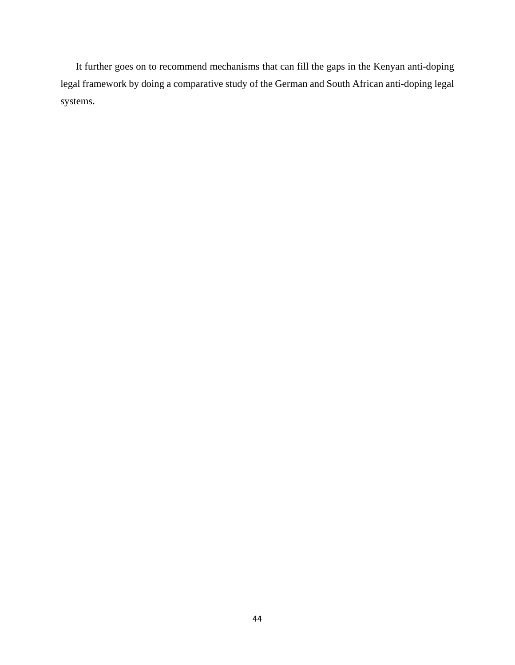It further goes on to recommend mechanisms that can fill the gaps in the Kenyan anti-doping legal framework by doing a comparative study of the German and South African anti-doping legal systems.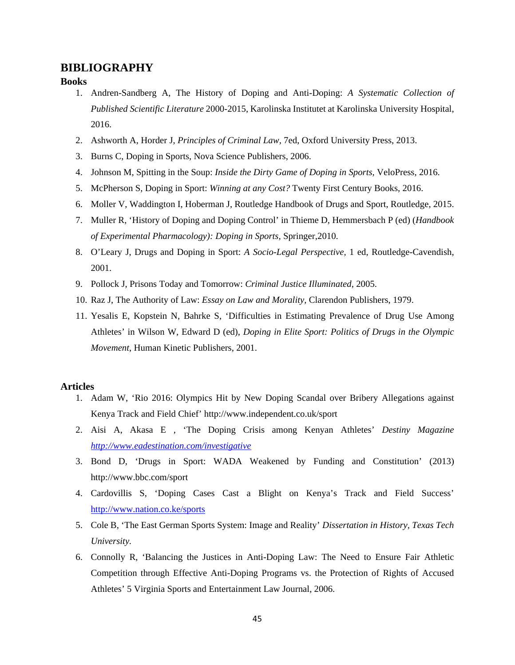## **BIBLIOGRAPHY**

#### **Books**

- 1. Andren-Sandberg A, The History of Doping and Anti-Doping: *A Systematic Collection of Published Scientific Literature* 2000-2015, Karolinska Institutet at Karolinska University Hospital, 2016.
- 2. Ashworth A, Horder J, *Principles of Criminal Law,* 7ed, Oxford University Press, 2013.
- 3. Burns C, Doping in Sports, Nova Science Publishers, 2006.
- 4. Johnson M, Spitting in the Soup: *Inside the Dirty Game of Doping in Sports,* VeloPress, 2016.
- 5. McPherson S, Doping in Sport: *Winning at any Cost?* Twenty First Century Books, 2016.
- 6. Moller V, Waddington I, Hoberman J, Routledge Handbook of Drugs and Sport, Routledge, 2015.
- 7. Muller R, 'History of Doping and Doping Control' in Thieme D, Hemmersbach P (ed) (*Handbook of Experimental Pharmacology): Doping in Sports,* Springer,2010.
- 8. O'Leary J, Drugs and Doping in Sport: *A Socio-Legal Perspective,* 1 ed, Routledge-Cavendish, 2001.
- 9. Pollock J, Prisons Today and Tomorrow: *Criminal Justice Illuminated*, 2005.
- 10. Raz J, The Authority of Law: *Essay on Law and Morality*, Clarendon Publishers, 1979.
- 11. Yesalis E, Kopstein N, Bahrke S, 'Difficulties in Estimating Prevalence of Drug Use Among Athletes' in Wilson W, Edward D (ed), *Doping in Elite Sport: Politics of Drugs in the Olympic Movement*, Human Kinetic Publishers, 2001.

## **Articles**

- 1. Adam W, 'Rio 2016: Olympics Hit by New Doping Scandal over Bribery Allegations against Kenya Track and Field Chief' http://www.independent.co.uk/sport
- 2. Aisi A, Akasa E , 'The Doping Crisis among Kenyan Athletes' *Destiny Magazine http://www.eadestination.com/investigative*
- 3. Bond D, 'Drugs in Sport: WADA Weakened by Funding and Constitution' (2013) http://www.bbc.com/sport
- 4. Cardovillis S, 'Doping Cases Cast a Blight on Kenya's Track and Field Success' http://www.nation.co.ke/sports
- 5. Cole B, 'The East German Sports System: Image and Reality' *Dissertation in History, Texas Tech University.*
- 6. Connolly R, 'Balancing the Justices in Anti-Doping Law: The Need to Ensure Fair Athletic Competition through Effective Anti-Doping Programs vs. the Protection of Rights of Accused Athletes' 5 Virginia Sports and Entertainment Law Journal, 2006.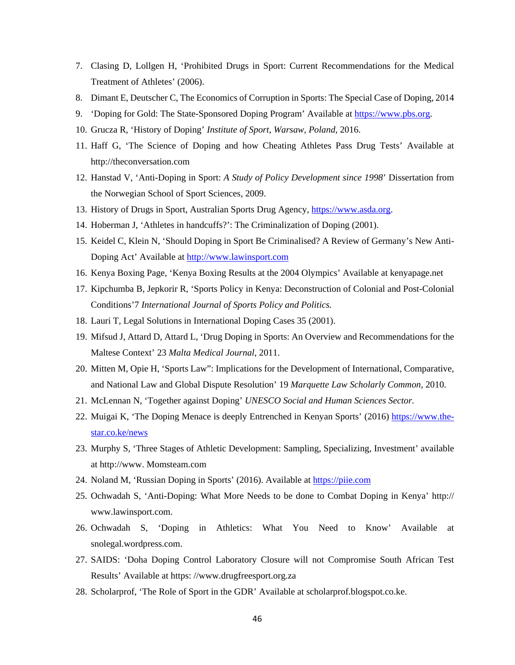- 7. Clasing D, Lollgen H, 'Prohibited Drugs in Sport: Current Recommendations for the Medical Treatment of Athletes' (2006).
- 8. Dimant E, Deutscher C, The Economics of Corruption in Sports: The Special Case of Doping, 2014
- 9. 'Doping for Gold: The State-Sponsored Doping Program' Available at https://www.pbs.org.
- 10. Grucza R, 'History of Doping' *Institute of Sport, Warsaw, Poland,* 2016.
- 11. Haff G, 'The Science of Doping and how Cheating Athletes Pass Drug Tests' Available at http://theconversation.com
- 12. Hanstad V, 'Anti-Doping in Sport: *A Study of Policy Development since 1998*' Dissertation from the Norwegian School of Sport Sciences, 2009.
- 13. History of Drugs in Sport, Australian Sports Drug Agency, https://www.asda.org.
- 14. Hoberman J, 'Athletes in handcuffs?': The Criminalization of Doping (2001).
- 15. Keidel C, Klein N, 'Should Doping in Sport Be Criminalised? A Review of Germany's New Anti-Doping Act' Available at http://www.lawinsport.com
- 16. Kenya Boxing Page, 'Kenya Boxing Results at the 2004 Olympics' Available at kenyapage.net
- 17. Kipchumba B, Jepkorir R, 'Sports Policy in Kenya: Deconstruction of Colonial and Post-Colonial Conditions'7 *International Journal of Sports Policy and Politics.*
- 18. Lauri T, Legal Solutions in International Doping Cases 35 (2001).
- 19. Mifsud J, Attard D, Attard L, 'Drug Doping in Sports: An Overview and Recommendations for the Maltese Context' 23 *Malta Medical Journal*, 2011.
- 20. Mitten M, Opie H, 'Sports Law": Implications for the Development of International, Comparative, and National Law and Global Dispute Resolution' 19 *Marquette Law Scholarly Common,* 2010.
- 21. McLennan N, 'Together against Doping' *UNESCO Social and Human Sciences Sector.*
- 22. Muigai K, 'The Doping Menace is deeply Entrenched in Kenyan Sports' (2016) https://www.thestar.co.ke/news
- 23. Murphy S, 'Three Stages of Athletic Development: Sampling, Specializing, Investment' available at http://www. Momsteam.com
- 24. Noland M, 'Russian Doping in Sports' (2016). Available at https://piie.com
- 25. Ochwadah S, 'Anti-Doping: What More Needs to be done to Combat Doping in Kenya' http:// www.lawinsport.com.
- 26. Ochwadah S, 'Doping in Athletics: What You Need to Know' Available at snolegal.wordpress.com.
- 27. SAIDS: 'Doha Doping Control Laboratory Closure will not Compromise South African Test Results' Available at https: //www.drugfreesport.org.za
- 28. Scholarprof, 'The Role of Sport in the GDR' Available at scholarprof.blogspot.co.ke.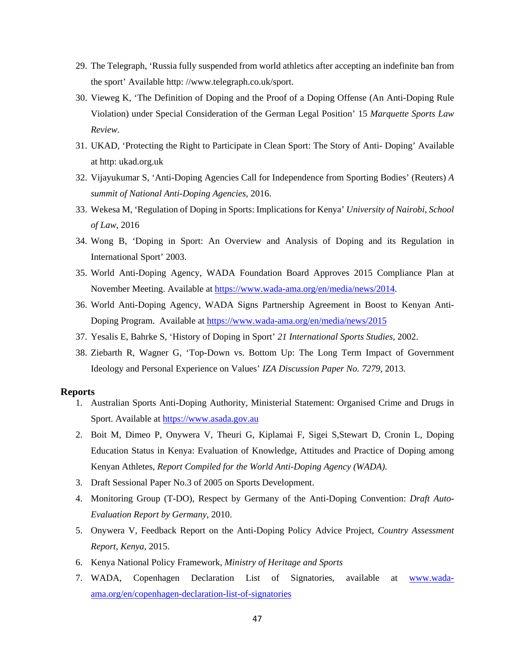- 29. The Telegraph, 'Russia fully suspended from world athletics after accepting an indefinite ban from the sport' Available http: //www.telegraph.co.uk/sport.
- 30. Vieweg K, 'The Definition of Doping and the Proof of a Doping Offense (An Anti-Doping Rule Violation) under Special Consideration of the German Legal Position' 15 *Marquette Sports Law Review.*
- 31. UKAD, 'Protecting the Right to Participate in Clean Sport: The Story of Anti- Doping' Available at http: ukad.org.uk
- 32. Vijayukumar S, 'Anti-Doping Agencies Call for Independence from Sporting Bodies' (Reuters) *A summit of National Anti-Doping Agencies*, 2016.
- 33. Wekesa M, 'Regulation of Doping in Sports: Implications for Kenya' *University of Nairobi, School of Law*, 2016
- 34. Wong B, 'Doping in Sport: An Overview and Analysis of Doping and its Regulation in International Sport' 2003.
- 35. World Anti-Doping Agency, WADA Foundation Board Approves 2015 Compliance Plan at November Meeting. Available at https://www.wada-ama.org/en/media/news/2014.
- 36. World Anti-Doping Agency, WADA Signs Partnership Agreement in Boost to Kenyan Anti-Doping Program. Available at https://www.wada-ama.org/en/media/news/2015
- 37. Yesalis E, Bahrke S, 'History of Doping in Sport' *21 International Sports Studies,* 2002.
- 38. Ziebarth R, Wagner G, 'Top-Down vs. Bottom Up: The Long Term Impact of Government Ideology and Personal Experience on Values' *IZA Discussion Paper No. 7279*, 2013.

#### **Reports**

- 1. Australian Sports Anti-Doping Authority, Ministerial Statement: Organised Crime and Drugs in Sport. Available at https://www.asada.gov.au
- 2. Boit M, Dimeo P, Onywera V, Theuri G, Kiplamai F, Sigei S,Stewart D, Cronin L, Doping Education Status in Kenya: Evaluation of Knowledge, Attitudes and Practice of Doping among Kenyan Athletes, *Report Compiled for the World Anti-Doping Agency (WADA).*
- 3. Draft Sessional Paper No.3 of 2005 on Sports Development.
- 4. Monitoring Group (T-DO), Respect by Germany of the Anti-Doping Convention: *Draft Auto-Evaluation Report by Germany*, 2010.
- 5. Onywera V, Feedback Report on the Anti-Doping Policy Advice Project, *Country Assessment Report, Kenya*, 2015.
- 6. Kenya National Policy Framework, *Ministry of Heritage and Sports*
- 7. WADA, Copenhagen Declaration List of Signatories, available at www.wadaama.org/en/copenhagen-declaration-list-of-signatories